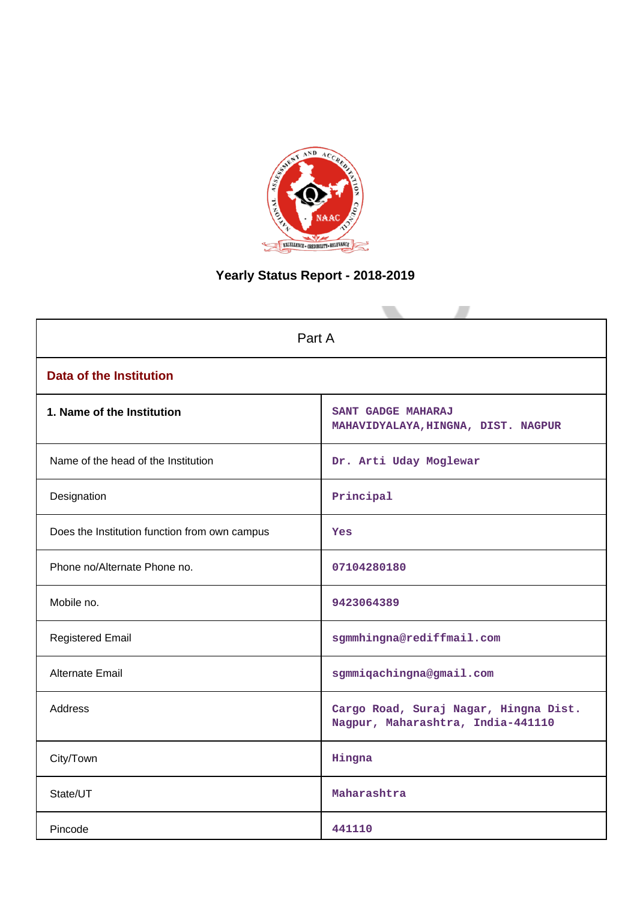

# **Yearly Status Report - 2018-2019**

| Part A                                        |                                                                            |  |  |  |
|-----------------------------------------------|----------------------------------------------------------------------------|--|--|--|
| <b>Data of the Institution</b>                |                                                                            |  |  |  |
| 1. Name of the Institution                    | SANT GADGE MAHARAJ<br>MAHAVIDYALAYA, HINGNA, DIST. NAGPUR                  |  |  |  |
| Name of the head of the Institution           | Dr. Arti Uday Moglewar                                                     |  |  |  |
| Designation                                   | Principal                                                                  |  |  |  |
| Does the Institution function from own campus | Yes                                                                        |  |  |  |
| Phone no/Alternate Phone no.                  | 07104280180                                                                |  |  |  |
| Mobile no.                                    | 9423064389                                                                 |  |  |  |
| <b>Registered Email</b>                       | sgmmhingna@rediffmail.com                                                  |  |  |  |
| Alternate Email                               | sgmmiqachingna@gmail.com                                                   |  |  |  |
| <b>Address</b>                                | Cargo Road, Suraj Nagar, Hingna Dist.<br>Nagpur, Maharashtra, India-441110 |  |  |  |
| City/Town                                     | Hingna                                                                     |  |  |  |
| State/UT                                      | Maharashtra                                                                |  |  |  |
| Pincode                                       | 441110                                                                     |  |  |  |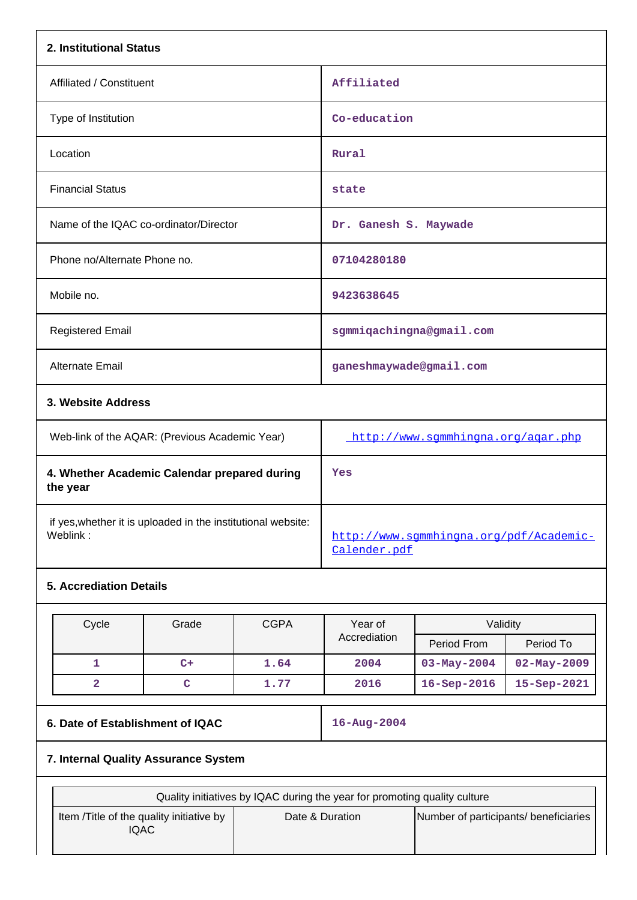| 2. Institutional Status                                                  |                                                         |  |  |
|--------------------------------------------------------------------------|---------------------------------------------------------|--|--|
| Affiliated / Constituent                                                 | Affiliated                                              |  |  |
| Type of Institution                                                      | Co-education                                            |  |  |
| Location                                                                 | Rural                                                   |  |  |
| <b>Financial Status</b>                                                  | state                                                   |  |  |
| Name of the IQAC co-ordinator/Director                                   | Dr. Ganesh S. Maywade                                   |  |  |
| Phone no/Alternate Phone no.                                             | 07104280180                                             |  |  |
| Mobile no.                                                               | 9423638645                                              |  |  |
| <b>Registered Email</b>                                                  | sgmmigachingna@gmail.com                                |  |  |
| <b>Alternate Email</b>                                                   | ganeshmaywade@gmail.com                                 |  |  |
| 3. Website Address                                                       |                                                         |  |  |
| Web-link of the AQAR: (Previous Academic Year)                           | http://www.sgmmhingna.org/agar.php                      |  |  |
| 4. Whether Academic Calendar prepared during<br>the year                 | Yes                                                     |  |  |
| if yes, whether it is uploaded in the institutional website:<br>Weblink: | http://www.sqmmhingna.org/pdf/Academic-<br>Calender.pdf |  |  |
| <b>5. Accrediation Details</b>                                           |                                                         |  |  |

| Cycle | Grade | <b>CGPA</b> | Year of      | Validity           |                   |
|-------|-------|-------------|--------------|--------------------|-------------------|
|       |       |             | Accrediation | Period From        | Period To         |
|       | $C+$  | 1.64        | 2004         | $03 - May - 2004$  | $02 - May - 2009$ |
|       |       | 1.77        | 2016         | $16 -$ Sep $-2016$ | $15 - Sep-2021$   |

# **6. Date of Establishment of IQAC 16-Aug-2004**

# **7. Internal Quality Assurance System**

| Quality initiatives by IQAC during the year for promoting quality culture |                 |                                       |  |
|---------------------------------------------------------------------------|-----------------|---------------------------------------|--|
| Item / Title of the quality initiative by<br>IQAC                         | Date & Duration | Number of participants/ beneficiaries |  |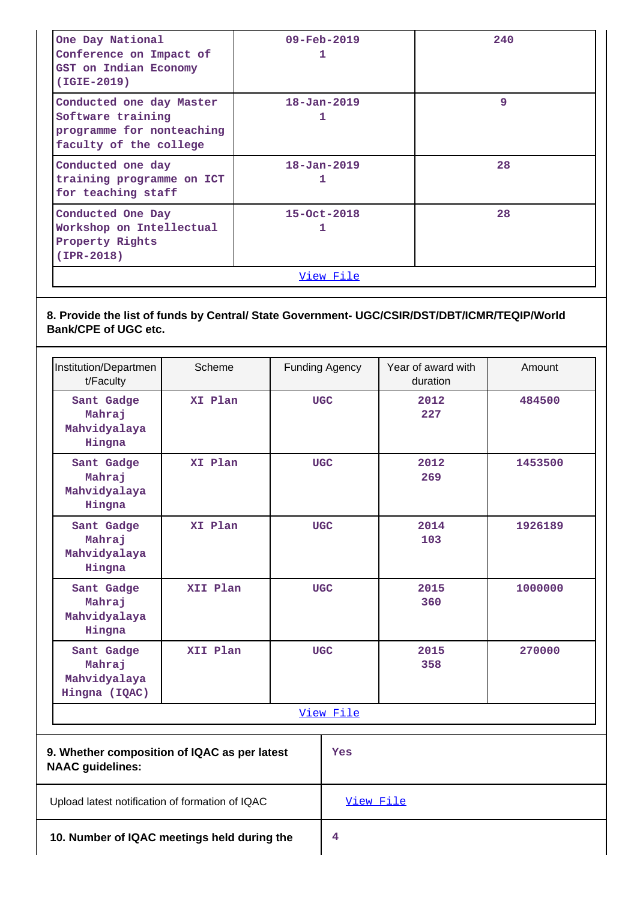| One Day National<br>Conference on Impact of<br>GST on Indian Economy<br>$(IGIE-2019)$                | $09 - \text{Feb} - 2019$<br>ı | 240 |  |  |
|------------------------------------------------------------------------------------------------------|-------------------------------|-----|--|--|
| Conducted one day Master<br>Software training<br>programme for nonteaching<br>faculty of the college | $18 - Jan - 2019$<br>1        | 9   |  |  |
| Conducted one day<br>training programme on ICT<br>for teaching staff                                 | $18 - Jan - 2019$<br>1        | 28  |  |  |
| Conducted One Day<br>Workshop on Intellectual<br>Property Rights<br>$(IPR-2018)$                     | $15 - Oct - 2018$             | 28  |  |  |
| View File                                                                                            |                               |     |  |  |

# **8. Provide the list of funds by Central/ State Government- UGC/CSIR/DST/DBT/ICMR/TEQIP/World Bank/CPE of UGC etc.**

| Institution/Departmen<br>t/Faculty                    | Scheme    | Funding Agency | Year of award with<br>duration | Amount  |  |
|-------------------------------------------------------|-----------|----------------|--------------------------------|---------|--|
| Sant Gadge<br>Mahraj<br>Mahvidyalaya<br>Hingna        | XI Plan   | <b>UGC</b>     | 2012<br>227                    | 484500  |  |
| Sant Gadge<br>Mahraj<br>Mahvidyalaya<br>Hingna        | XI Plan   | <b>UGC</b>     | 2012<br>269                    | 1453500 |  |
| Sant Gadge<br>Mahraj<br>Mahvidyalaya<br>Hingna        | XI Plan   | <b>UGC</b>     | 2014<br>103                    | 1926189 |  |
| Sant Gadge<br>Mahraj<br>Mahvidyalaya<br>Hingna        | XII Plan  | <b>UGC</b>     | 2015<br>360                    | 1000000 |  |
| Sant Gadge<br>Mahraj<br>Mahvidyalaya<br>Hingna (IQAC) | XII Plan  | <b>UGC</b>     | 2015<br>358                    | 270000  |  |
|                                                       | View File |                |                                |         |  |

| 9. Whether composition of IQAC as per latest<br><b>NAAC guidelines:</b> | Yes       |
|-------------------------------------------------------------------------|-----------|
| Upload latest notification of formation of IQAC                         | View File |
| 10. Number of IQAC meetings held during the                             | 4         |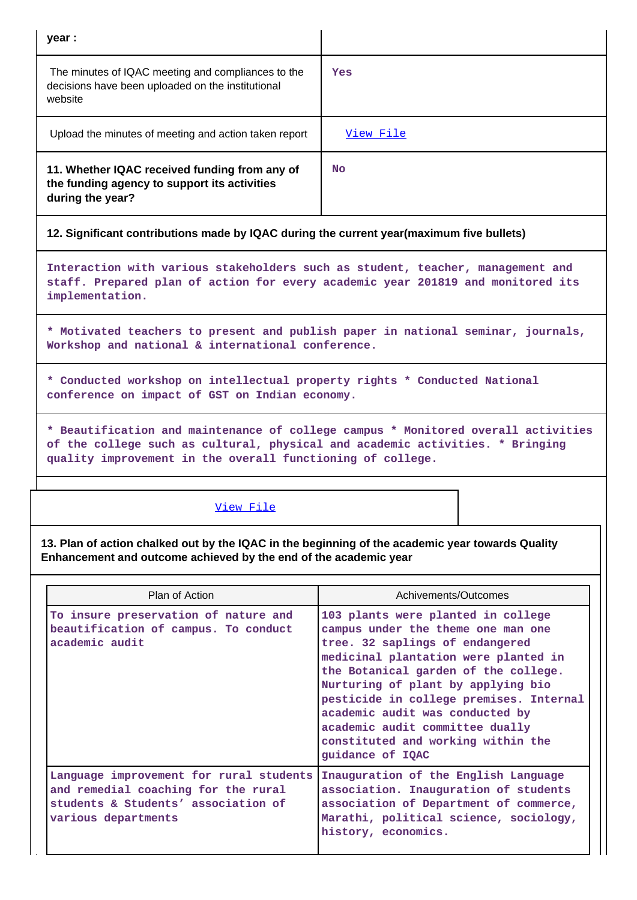| year :                                                                                                                                                                                                                           |                                                                                                                                                     |  |  |  |
|----------------------------------------------------------------------------------------------------------------------------------------------------------------------------------------------------------------------------------|-----------------------------------------------------------------------------------------------------------------------------------------------------|--|--|--|
| The minutes of IQAC meeting and compliances to the<br>decisions have been uploaded on the institutional<br>website                                                                                                               | Yes                                                                                                                                                 |  |  |  |
| Upload the minutes of meeting and action taken report                                                                                                                                                                            | View File                                                                                                                                           |  |  |  |
| 11. Whether IQAC received funding from any of<br>the funding agency to support its activities<br>during the year?                                                                                                                | <b>No</b>                                                                                                                                           |  |  |  |
| 12. Significant contributions made by IQAC during the current year(maximum five bullets)                                                                                                                                         |                                                                                                                                                     |  |  |  |
| Interaction with various stakeholders such as student, teacher, management and<br>staff. Prepared plan of action for every academic year 201819 and monitored its<br>implementation.                                             |                                                                                                                                                     |  |  |  |
| * Motivated teachers to present and publish paper in national seminar, journals,<br>Workshop and national & international conference.                                                                                            |                                                                                                                                                     |  |  |  |
| * Conducted workshop on intellectual property rights * Conducted National<br>conference on impact of GST on Indian economy.                                                                                                      |                                                                                                                                                     |  |  |  |
| * Beautification and maintenance of college campus * Monitored overall activities<br>of the college such as cultural, physical and academic activities. * Bringing<br>quality improvement in the overall functioning of college. |                                                                                                                                                     |  |  |  |
| View File                                                                                                                                                                                                                        |                                                                                                                                                     |  |  |  |
| 13. Plan of action chalked out by the IQAC in the beginning of the academic year towards Quality<br>Enhancement and outcome achieved by the end of the academic year                                                             |                                                                                                                                                     |  |  |  |
| Plan of Action                                                                                                                                                                                                                   | Achivements/Outcomes                                                                                                                                |  |  |  |
| To insure preservation of nature and<br>beautification of campus. To conduct<br>academic audit                                                                                                                                   | 103 plants were planted in college<br>campus under the theme one man one<br>tree. 32 saplings of endangered<br>medicinal plantation were planted in |  |  |  |

**academic audit committee dually constituted and working within the guidance of IQAC Language improvement for rural students and remedial coaching for the rural students & Students' association of various departments Inauguration of the English Language association. Inauguration of students association of Department of commerce, Marathi, political science, sociology, history, economics.**

**the Botanical garden of the college. Nurturing of plant by applying bio**

**academic audit was conducted by**

**pesticide in college premises. Internal**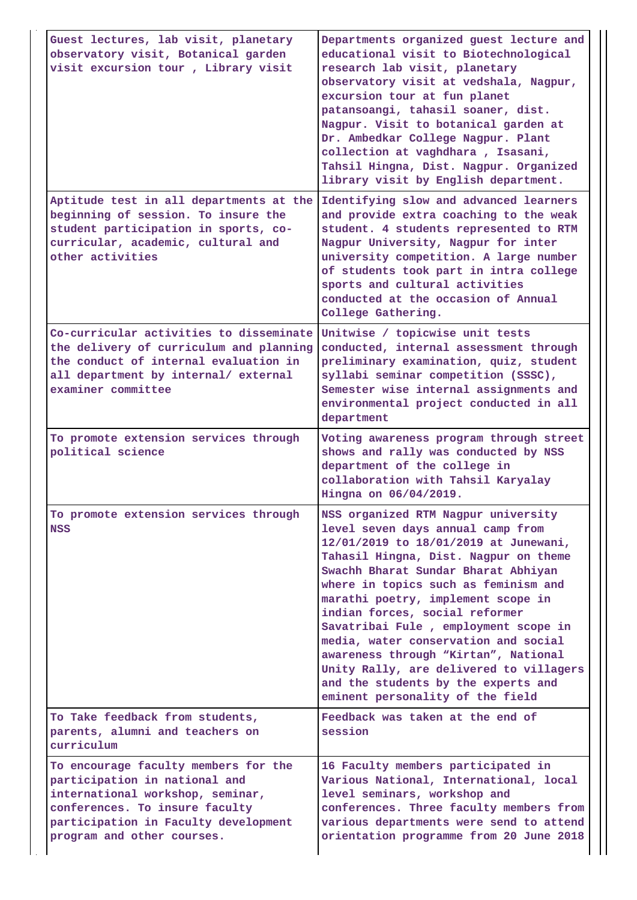| Guest lectures, lab visit, planetary<br>observatory visit, Botanical garden<br>visit excursion tour, Library visit                                                                                                | Departments organized guest lecture and<br>educational visit to Biotechnological<br>research lab visit, planetary<br>observatory visit at vedshala, Nagpur,<br>excursion tour at fun planet<br>patansoangi, tahasil soaner, dist.<br>Nagpur. Visit to botanical garden at<br>Dr. Ambedkar College Nagpur. Plant<br>collection at vaghdhara, Isasani,<br>Tahsil Hingna, Dist. Nagpur. Organized<br>library visit by English department.                                                                                                                          |
|-------------------------------------------------------------------------------------------------------------------------------------------------------------------------------------------------------------------|-----------------------------------------------------------------------------------------------------------------------------------------------------------------------------------------------------------------------------------------------------------------------------------------------------------------------------------------------------------------------------------------------------------------------------------------------------------------------------------------------------------------------------------------------------------------|
| Aptitude test in all departments at the<br>beginning of session. To insure the<br>student participation in sports, co-<br>curricular, academic, cultural and<br>other activities                                  | Identifying slow and advanced learners<br>and provide extra coaching to the weak<br>student. 4 students represented to RTM<br>Nagpur University, Nagpur for inter<br>university competition. A large number<br>of students took part in intra college<br>sports and cultural activities<br>conducted at the occasion of Annual<br>College Gathering.                                                                                                                                                                                                            |
| Co-curricular activities to disseminate<br>the delivery of curriculum and planning<br>the conduct of internal evaluation in<br>all department by internal/ external<br>examiner committee                         | Unitwise / topicwise unit tests<br>conducted, internal assessment through<br>preliminary examination, quiz, student<br>syllabi seminar competition (SSSC),<br>Semester wise internal assignments and<br>environmental project conducted in all<br>department                                                                                                                                                                                                                                                                                                    |
| To promote extension services through<br>political science                                                                                                                                                        | Voting awareness program through street<br>shows and rally was conducted by NSS<br>department of the college in<br>collaboration with Tahsil Karyalay<br>Hingna on 06/04/2019.                                                                                                                                                                                                                                                                                                                                                                                  |
| To promote extension services through<br><b>NSS</b>                                                                                                                                                               | NSS organized RTM Nagpur university<br>level seven days annual camp from<br>12/01/2019 to 18/01/2019 at Junewani,<br>Tahasil Hingna, Dist. Nagpur on theme<br>Swachh Bharat Sundar Bharat Abhiyan<br>where in topics such as feminism and<br>marathi poetry, implement scope in<br>indian forces, social reformer<br>Savatribai Fule, employment scope in<br>media, water conservation and social<br>awareness through "Kirtan", National<br>Unity Rally, are delivered to villagers<br>and the students by the experts and<br>eminent personality of the field |
| To Take feedback from students,<br>parents, alumni and teachers on<br>curriculum                                                                                                                                  | Feedback was taken at the end of<br>session                                                                                                                                                                                                                                                                                                                                                                                                                                                                                                                     |
| To encourage faculty members for the<br>participation in national and<br>international workshop, seminar,<br>conferences. To insure faculty<br>participation in Faculty development<br>program and other courses. | 16 Faculty members participated in<br>Various National, International, local<br>level seminars, workshop and<br>conferences. Three faculty members from<br>various departments were send to attend<br>orientation programme from 20 June 2018                                                                                                                                                                                                                                                                                                                   |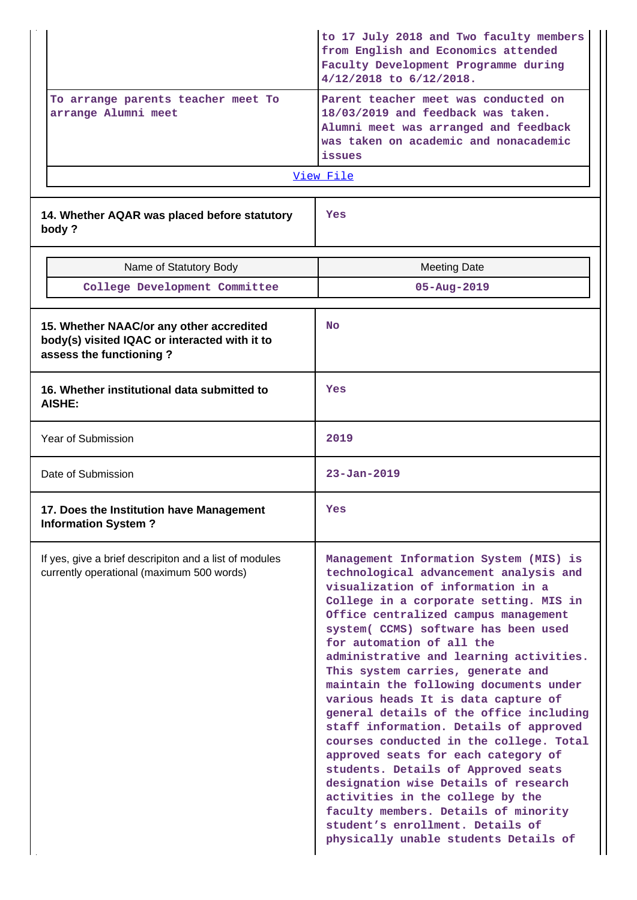| To arrange parents teacher meet To<br>arrange Alumni meet                                                            | to 17 July 2018 and Two faculty members<br>from English and Economics attended<br>Faculty Development Programme during<br>$4/12/2018$ to $6/12/2018$ .<br>Parent teacher meet was conducted on<br>18/03/2019 and feedback was taken.<br>Alumni meet was arranged and feedback<br>was taken on academic and nonacademic<br>issues<br>View File                                                                                                                                                                                                                                                                                                                                                                                                                                                                                                                |  |
|----------------------------------------------------------------------------------------------------------------------|--------------------------------------------------------------------------------------------------------------------------------------------------------------------------------------------------------------------------------------------------------------------------------------------------------------------------------------------------------------------------------------------------------------------------------------------------------------------------------------------------------------------------------------------------------------------------------------------------------------------------------------------------------------------------------------------------------------------------------------------------------------------------------------------------------------------------------------------------------------|--|
| 14. Whether AQAR was placed before statutory<br>body?                                                                | Yes                                                                                                                                                                                                                                                                                                                                                                                                                                                                                                                                                                                                                                                                                                                                                                                                                                                          |  |
| Name of Statutory Body                                                                                               | <b>Meeting Date</b>                                                                                                                                                                                                                                                                                                                                                                                                                                                                                                                                                                                                                                                                                                                                                                                                                                          |  |
| College Development Committee                                                                                        | $05 - Aug - 2019$                                                                                                                                                                                                                                                                                                                                                                                                                                                                                                                                                                                                                                                                                                                                                                                                                                            |  |
|                                                                                                                      |                                                                                                                                                                                                                                                                                                                                                                                                                                                                                                                                                                                                                                                                                                                                                                                                                                                              |  |
| 15. Whether NAAC/or any other accredited<br>body(s) visited IQAC or interacted with it to<br>assess the functioning? | <b>No</b>                                                                                                                                                                                                                                                                                                                                                                                                                                                                                                                                                                                                                                                                                                                                                                                                                                                    |  |
| 16. Whether institutional data submitted to<br>AISHE:                                                                | Yes                                                                                                                                                                                                                                                                                                                                                                                                                                                                                                                                                                                                                                                                                                                                                                                                                                                          |  |
| Year of Submission                                                                                                   | 2019                                                                                                                                                                                                                                                                                                                                                                                                                                                                                                                                                                                                                                                                                                                                                                                                                                                         |  |
| Date of Submission                                                                                                   | $23 - Jan - 2019$                                                                                                                                                                                                                                                                                                                                                                                                                                                                                                                                                                                                                                                                                                                                                                                                                                            |  |
| 17. Does the Institution have Management<br><b>Information System?</b>                                               | Yes                                                                                                                                                                                                                                                                                                                                                                                                                                                                                                                                                                                                                                                                                                                                                                                                                                                          |  |
| If yes, give a brief descripiton and a list of modules<br>currently operational (maximum 500 words)                  | Management Information System (MIS) is<br>technological advancement analysis and<br>visualization of information in a<br>College in a corporate setting. MIS in<br>Office centralized campus management<br>system( CCMS) software has been used<br>for automation of all the<br>administrative and learning activities.<br>This system carries, generate and<br>maintain the following documents under<br>various heads It is data capture of<br>general details of the office including<br>staff information. Details of approved<br>courses conducted in the college. Total<br>approved seats for each category of<br>students. Details of Approved seats<br>designation wise Details of research<br>activities in the college by the<br>faculty members. Details of minority<br>student's enrollment. Details of<br>physically unable students Details of |  |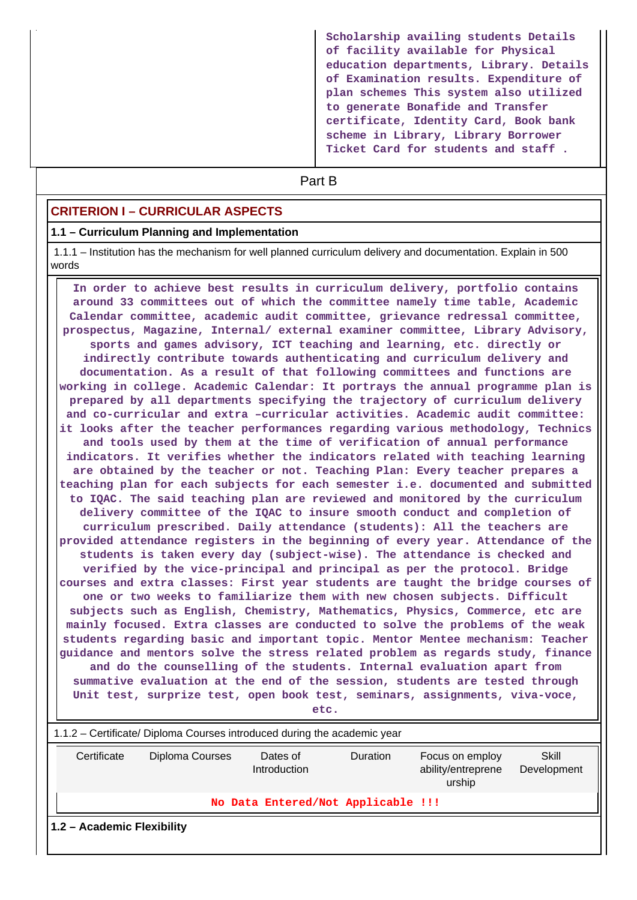**Scholarship availing students Details of facility available for Physical education departments, Library. Details of Examination results. Expenditure of plan schemes This system also utilized to generate Bonafide and Transfer certificate, Identity Card, Book bank scheme in Library, Library Borrower Ticket Card for students and staff .**

# **Part B**

## **CRITERION I – CURRICULAR ASPECTS**

#### **1.1 – Curriculum Planning and Implementation**

 1.1.1 – Institution has the mechanism for well planned curriculum delivery and documentation. Explain in 500 words

 **In order to achieve best results in curriculum delivery, portfolio contains around 33 committees out of which the committee namely time table, Academic Calendar committee, academic audit committee, grievance redressal committee, prospectus, Magazine, Internal/ external examiner committee, Library Advisory, sports and games advisory, ICT teaching and learning, etc. directly or indirectly contribute towards authenticating and curriculum delivery and documentation. As a result of that following committees and functions are working in college. Academic Calendar: It portrays the annual programme plan is prepared by all departments specifying the trajectory of curriculum delivery and co-curricular and extra –curricular activities. Academic audit committee: it looks after the teacher performances regarding various methodology, Technics and tools used by them at the time of verification of annual performance indicators. It verifies whether the indicators related with teaching learning are obtained by the teacher or not. Teaching Plan: Every teacher prepares a teaching plan for each subjects for each semester i.e. documented and submitted to IQAC. The said teaching plan are reviewed and monitored by the curriculum delivery committee of the IQAC to insure smooth conduct and completion of curriculum prescribed. Daily attendance (students): All the teachers are provided attendance registers in the beginning of every year. Attendance of the students is taken every day (subject-wise). The attendance is checked and verified by the vice-principal and principal as per the protocol. Bridge courses and extra classes: First year students are taught the bridge courses of one or two weeks to familiarize them with new chosen subjects. Difficult subjects such as English, Chemistry, Mathematics, Physics, Commerce, etc are mainly focused. Extra classes are conducted to solve the problems of the weak students regarding basic and important topic. Mentor Mentee mechanism: Teacher guidance and mentors solve the stress related problem as regards study, finance and do the counselling of the students. Internal evaluation apart from summative evaluation at the end of the session, students are tested through Unit test, surprize test, open book test, seminars, assignments, viva-voce, etc.**

| 1.1.2 – Certificate/ Diploma Courses introduced during the academic year |                 |                          |                                    |                                                 |                      |  |  |
|--------------------------------------------------------------------------|-----------------|--------------------------|------------------------------------|-------------------------------------------------|----------------------|--|--|
| Certificate                                                              | Diploma Courses | Dates of<br>Introduction | <b>Duration</b>                    | Focus on employ<br>ability/entreprene<br>urship | Skill<br>Development |  |  |
|                                                                          |                 |                          | No Data Entered/Not Applicable !!! |                                                 |                      |  |  |
| 1.2 - Academic Flexibility                                               |                 |                          |                                    |                                                 |                      |  |  |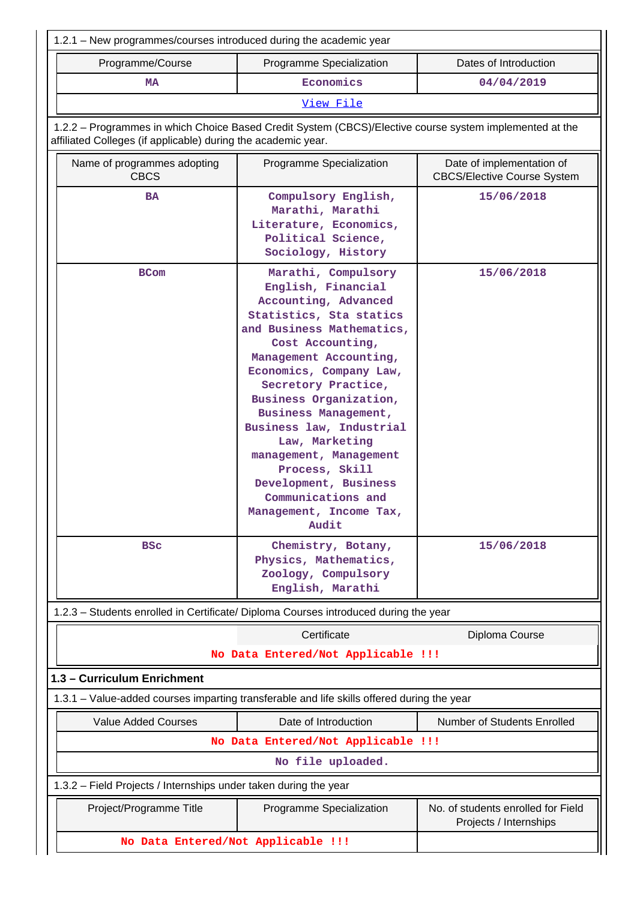| 1.2.1 – New programmes/courses introduced during the academic year                                                                                                       |                                                                                                                                                                                                                                                                                                                                                                                                                                                                 |                                                                 |  |  |  |
|--------------------------------------------------------------------------------------------------------------------------------------------------------------------------|-----------------------------------------------------------------------------------------------------------------------------------------------------------------------------------------------------------------------------------------------------------------------------------------------------------------------------------------------------------------------------------------------------------------------------------------------------------------|-----------------------------------------------------------------|--|--|--|
| Programme/Course                                                                                                                                                         | Programme Specialization                                                                                                                                                                                                                                                                                                                                                                                                                                        | Dates of Introduction                                           |  |  |  |
| Economics<br><b>MA</b>                                                                                                                                                   |                                                                                                                                                                                                                                                                                                                                                                                                                                                                 | 04/04/2019                                                      |  |  |  |
|                                                                                                                                                                          | View File                                                                                                                                                                                                                                                                                                                                                                                                                                                       |                                                                 |  |  |  |
| 1.2.2 - Programmes in which Choice Based Credit System (CBCS)/Elective course system implemented at the<br>affiliated Colleges (if applicable) during the academic year. |                                                                                                                                                                                                                                                                                                                                                                                                                                                                 |                                                                 |  |  |  |
| Name of programmes adopting<br><b>CBCS</b>                                                                                                                               | Programme Specialization                                                                                                                                                                                                                                                                                                                                                                                                                                        | Date of implementation of<br><b>CBCS/Elective Course System</b> |  |  |  |
| <b>BA</b>                                                                                                                                                                | Compulsory English,<br>Marathi, Marathi<br>Literature, Economics,<br>Political Science,<br>Sociology, History                                                                                                                                                                                                                                                                                                                                                   | 15/06/2018                                                      |  |  |  |
| <b>BCom</b>                                                                                                                                                              | Marathi, Compulsory<br>English, Financial<br>Accounting, Advanced<br>Statistics, Sta statics<br>and Business Mathematics,<br>Cost Accounting,<br>Management Accounting,<br>Economics, Company Law,<br>Secretory Practice,<br>Business Organization,<br>Business Management,<br>Business law, Industrial<br>Law, Marketing<br>management, Management<br>Process, Skill<br>Development, Business<br>Communications and<br>Management, Income Tax,<br><b>Audit</b> | 15/06/2018                                                      |  |  |  |
| <b>BSC</b>                                                                                                                                                               | Chemistry, Botany,<br>Physics, Mathematics,<br>Zoology, Compulsory<br>English, Marathi                                                                                                                                                                                                                                                                                                                                                                          | 15/06/2018                                                      |  |  |  |
| 1.2.3 - Students enrolled in Certificate/ Diploma Courses introduced during the year                                                                                     |                                                                                                                                                                                                                                                                                                                                                                                                                                                                 |                                                                 |  |  |  |
|                                                                                                                                                                          | Certificate                                                                                                                                                                                                                                                                                                                                                                                                                                                     | Diploma Course                                                  |  |  |  |
|                                                                                                                                                                          | No Data Entered/Not Applicable !!!                                                                                                                                                                                                                                                                                                                                                                                                                              |                                                                 |  |  |  |
| 1.3 - Curriculum Enrichment                                                                                                                                              |                                                                                                                                                                                                                                                                                                                                                                                                                                                                 |                                                                 |  |  |  |
| 1.3.1 – Value-added courses imparting transferable and life skills offered during the year                                                                               |                                                                                                                                                                                                                                                                                                                                                                                                                                                                 |                                                                 |  |  |  |
| <b>Value Added Courses</b>                                                                                                                                               | Date of Introduction                                                                                                                                                                                                                                                                                                                                                                                                                                            | Number of Students Enrolled                                     |  |  |  |
|                                                                                                                                                                          | No Data Entered/Not Applicable !!!                                                                                                                                                                                                                                                                                                                                                                                                                              |                                                                 |  |  |  |
| No file uploaded.                                                                                                                                                        |                                                                                                                                                                                                                                                                                                                                                                                                                                                                 |                                                                 |  |  |  |
| 1.3.2 - Field Projects / Internships under taken during the year                                                                                                         |                                                                                                                                                                                                                                                                                                                                                                                                                                                                 |                                                                 |  |  |  |
| Project/Programme Title                                                                                                                                                  | Programme Specialization                                                                                                                                                                                                                                                                                                                                                                                                                                        | No. of students enrolled for Field<br>Projects / Internships    |  |  |  |
| No Data Entered/Not Applicable !!!                                                                                                                                       |                                                                                                                                                                                                                                                                                                                                                                                                                                                                 |                                                                 |  |  |  |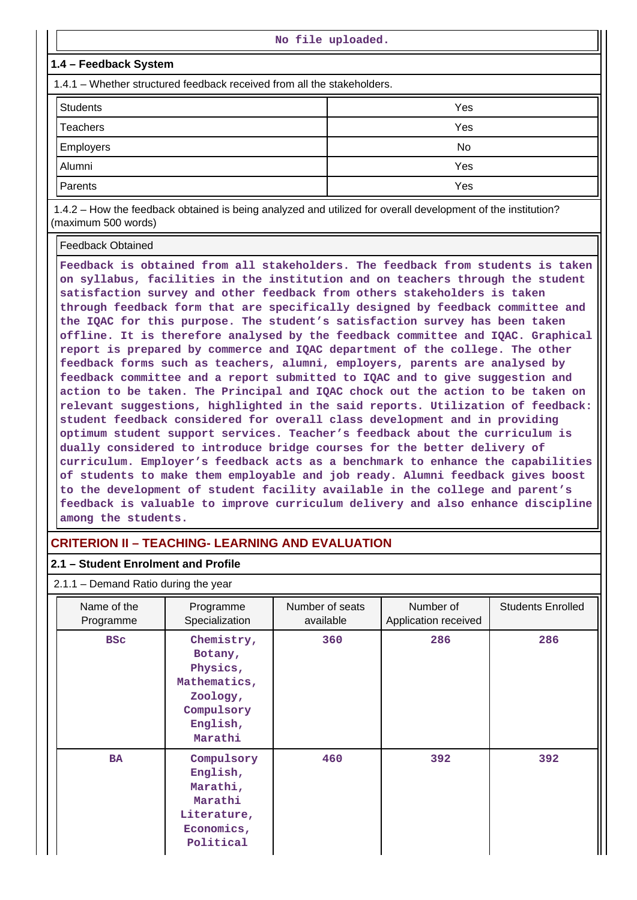| No file uploaded.                                                                                                                                                                                                                                                                        |                                                                                                                                                                                                                                   |  |  |  |  |  |  |  |  |
|------------------------------------------------------------------------------------------------------------------------------------------------------------------------------------------------------------------------------------------------------------------------------------------|-----------------------------------------------------------------------------------------------------------------------------------------------------------------------------------------------------------------------------------|--|--|--|--|--|--|--|--|
| 1.4 – Feedback System                                                                                                                                                                                                                                                                    |                                                                                                                                                                                                                                   |  |  |  |  |  |  |  |  |
| 1.4.1 – Whether structured feedback received from all the stakeholders.                                                                                                                                                                                                                  |                                                                                                                                                                                                                                   |  |  |  |  |  |  |  |  |
| <b>Students</b>                                                                                                                                                                                                                                                                          | Yes                                                                                                                                                                                                                               |  |  |  |  |  |  |  |  |
| Teachers                                                                                                                                                                                                                                                                                 | Yes                                                                                                                                                                                                                               |  |  |  |  |  |  |  |  |
| Employers                                                                                                                                                                                                                                                                                | No.                                                                                                                                                                                                                               |  |  |  |  |  |  |  |  |
| Alumni                                                                                                                                                                                                                                                                                   | Yes                                                                                                                                                                                                                               |  |  |  |  |  |  |  |  |
| Parents                                                                                                                                                                                                                                                                                  | Yes                                                                                                                                                                                                                               |  |  |  |  |  |  |  |  |
| $\mathbf{a}$ , and $\mathbf{a}$ , and $\mathbf{a}$ , and $\mathbf{a}$ , and $\mathbf{a}$ , and $\mathbf{a}$ , and $\mathbf{a}$ , and $\mathbf{a}$ , and $\mathbf{a}$ , and $\mathbf{a}$ , and $\mathbf{a}$ , and $\mathbf{a}$ , and $\mathbf{a}$ , and $\mathbf{a}$ , and $\mathbf{a}$ , | $\mathbf{r}$ , and the contract of the contract of the contract of the contract of the contract of the contract of the contract of the contract of the contract of the contract of the contract of the contract of the contract o |  |  |  |  |  |  |  |  |

 1.4.2 – How the feedback obtained is being analyzed and utilized for overall development of the institution? (maximum 500 words)

#### Feedback Obtained

**Feedback is obtained from all stakeholders. The feedback from students is taken on syllabus, facilities in the institution and on teachers through the student satisfaction survey and other feedback from others stakeholders is taken through feedback form that are specifically designed by feedback committee and the IQAC for this purpose. The student's satisfaction survey has been taken offline. It is therefore analysed by the feedback committee and IQAC. Graphical report is prepared by commerce and IQAC department of the college. The other feedback forms such as teachers, alumni, employers, parents are analysed by feedback committee and a report submitted to IQAC and to give suggestion and action to be taken. The Principal and IQAC chock out the action to be taken on relevant suggestions, highlighted in the said reports. Utilization of feedback: student feedback considered for overall class development and in providing optimum student support services. Teacher's feedback about the curriculum is dually considered to introduce bridge courses for the better delivery of curriculum. Employer's feedback acts as a benchmark to enhance the capabilities of students to make them employable and job ready. Alumni feedback gives boost to the development of student facility available in the college and parent's feedback is valuable to improve curriculum delivery and also enhance discipline among the students.**

# **CRITERION II – TEACHING- LEARNING AND EVALUATION**

#### **2.1 – Student Enrolment and Profile**

# 2.1.1 – Demand Ratio during the year

| Name of the<br>Programme | Programme<br>Specialization                                                                        | Number of seats<br>available | Number of<br>Application received | <b>Students Enrolled</b> |  |
|--------------------------|----------------------------------------------------------------------------------------------------|------------------------------|-----------------------------------|--------------------------|--|
| <b>BSC</b>               | Chemistry,<br>Botany,<br>Physics,<br>Mathematics,<br>Zoology,<br>Compulsory<br>English,<br>Marathi | 360                          | 286                               | 286                      |  |
| <b>BA</b>                | Compulsory<br>English,<br>Marathi,<br>Marathi<br>Literature,<br>Economics,<br>Political            | 460                          | 392                               | 392                      |  |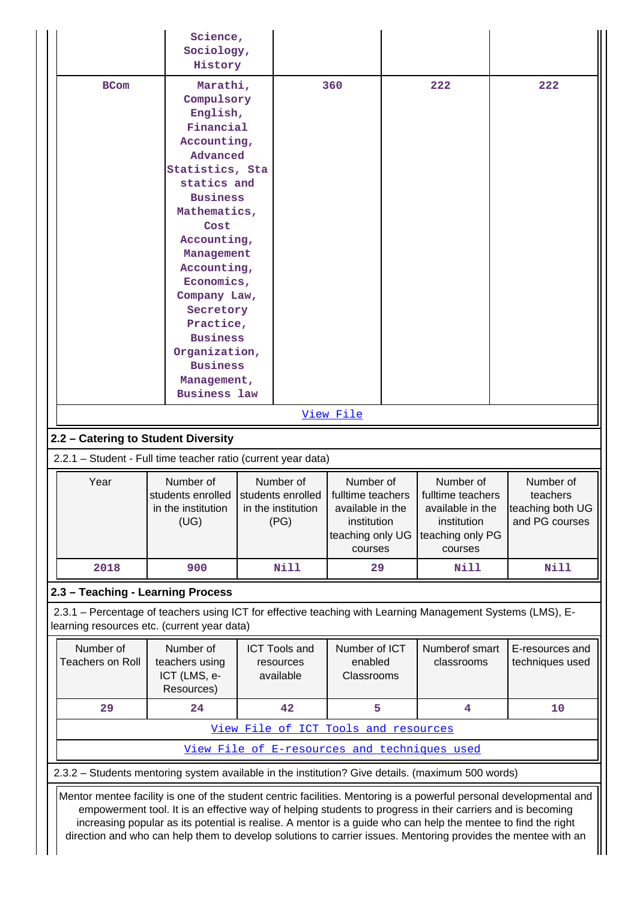|                                                                                                                                                                                                                                                                                                                                                                                                                                                                                                                                                                          | Science,<br>Sociology,<br>History                                                                                                                                                                                                                                                                                                                        |  |                                                                                                                                                                  |                                        |  |                                                                                                  |  |                                                             |
|--------------------------------------------------------------------------------------------------------------------------------------------------------------------------------------------------------------------------------------------------------------------------------------------------------------------------------------------------------------------------------------------------------------------------------------------------------------------------------------------------------------------------------------------------------------------------|----------------------------------------------------------------------------------------------------------------------------------------------------------------------------------------------------------------------------------------------------------------------------------------------------------------------------------------------------------|--|------------------------------------------------------------------------------------------------------------------------------------------------------------------|----------------------------------------|--|--------------------------------------------------------------------------------------------------|--|-------------------------------------------------------------|
| <b>BCom</b>                                                                                                                                                                                                                                                                                                                                                                                                                                                                                                                                                              | Marathi,<br>Compulsory<br>English,<br>Financial<br>Accounting,<br>Advanced<br>Statistics, Sta<br>statics and<br><b>Business</b><br>Mathematics,<br>Cost<br>Accounting,<br>Management<br>Accounting,<br>Economics,<br>Company Law,<br>Secretory<br>Practice,<br><b>Business</b><br>Organization,<br><b>Business</b><br>Management,<br><b>Business law</b> |  |                                                                                                                                                                  | 360                                    |  | 222                                                                                              |  | 222                                                         |
|                                                                                                                                                                                                                                                                                                                                                                                                                                                                                                                                                                          |                                                                                                                                                                                                                                                                                                                                                          |  |                                                                                                                                                                  |                                        |  |                                                                                                  |  |                                                             |
|                                                                                                                                                                                                                                                                                                                                                                                                                                                                                                                                                                          |                                                                                                                                                                                                                                                                                                                                                          |  |                                                                                                                                                                  | <u>View File</u>                       |  |                                                                                                  |  |                                                             |
| 2.2 - Catering to Student Diversity                                                                                                                                                                                                                                                                                                                                                                                                                                                                                                                                      |                                                                                                                                                                                                                                                                                                                                                          |  |                                                                                                                                                                  |                                        |  |                                                                                                  |  |                                                             |
| 2.2.1 - Student - Full time teacher ratio (current year data)                                                                                                                                                                                                                                                                                                                                                                                                                                                                                                            |                                                                                                                                                                                                                                                                                                                                                          |  |                                                                                                                                                                  |                                        |  |                                                                                                  |  |                                                             |
| Year                                                                                                                                                                                                                                                                                                                                                                                                                                                                                                                                                                     | Number of<br>students enrolled<br>in the institution<br>(UG)                                                                                                                                                                                                                                                                                             |  | Number of<br>Number of<br>students enrolled<br>fulltime teachers<br>in the institution<br>available in the<br>(PG)<br>institution<br>teaching only UG<br>courses |                                        |  | Number of<br>fulltime teachers<br>available in the<br>institution<br>teaching only PG<br>courses |  | Number of<br>teachers<br>teaching both UG<br>and PG courses |
| 2018                                                                                                                                                                                                                                                                                                                                                                                                                                                                                                                                                                     | 900                                                                                                                                                                                                                                                                                                                                                      |  | Nill                                                                                                                                                             | 29                                     |  | <b>Nill</b>                                                                                      |  | <b>Nill</b>                                                 |
| 2.3 - Teaching - Learning Process                                                                                                                                                                                                                                                                                                                                                                                                                                                                                                                                        |                                                                                                                                                                                                                                                                                                                                                          |  |                                                                                                                                                                  |                                        |  |                                                                                                  |  |                                                             |
|                                                                                                                                                                                                                                                                                                                                                                                                                                                                                                                                                                          | 2.3.1 - Percentage of teachers using ICT for effective teaching with Learning Management Systems (LMS), E-<br>learning resources etc. (current year data)                                                                                                                                                                                                |  |                                                                                                                                                                  |                                        |  |                                                                                                  |  |                                                             |
| Number of<br><b>Teachers on Roll</b>                                                                                                                                                                                                                                                                                                                                                                                                                                                                                                                                     | Number of<br>teachers using<br>ICT (LMS, e-<br>Resources)                                                                                                                                                                                                                                                                                                |  | <b>ICT Tools and</b><br>resources<br>available                                                                                                                   | Number of ICT<br>enabled<br>Classrooms |  | Numberof smart<br>classrooms                                                                     |  | E-resources and<br>techniques used                          |
| 29                                                                                                                                                                                                                                                                                                                                                                                                                                                                                                                                                                       | 24                                                                                                                                                                                                                                                                                                                                                       |  | 42                                                                                                                                                               | 5                                      |  | 4                                                                                                |  | 10                                                          |
|                                                                                                                                                                                                                                                                                                                                                                                                                                                                                                                                                                          |                                                                                                                                                                                                                                                                                                                                                          |  | View File of ICT Tools and resources                                                                                                                             |                                        |  |                                                                                                  |  |                                                             |
|                                                                                                                                                                                                                                                                                                                                                                                                                                                                                                                                                                          |                                                                                                                                                                                                                                                                                                                                                          |  |                                                                                                                                                                  |                                        |  | View File of E-resources and techniques used                                                     |  |                                                             |
|                                                                                                                                                                                                                                                                                                                                                                                                                                                                                                                                                                          |                                                                                                                                                                                                                                                                                                                                                          |  |                                                                                                                                                                  |                                        |  |                                                                                                  |  |                                                             |
| 2.3.2 - Students mentoring system available in the institution? Give details. (maximum 500 words)<br>Mentor mentee facility is one of the student centric facilities. Mentoring is a powerful personal developmental and<br>empowerment tool. It is an effective way of helping students to progress in their carriers and is becoming<br>increasing popular as its potential is realise. A mentor is a guide who can help the mentee to find the right<br>direction and who can help them to develop solutions to carrier issues. Mentoring provides the mentee with an |                                                                                                                                                                                                                                                                                                                                                          |  |                                                                                                                                                                  |                                        |  |                                                                                                  |  |                                                             |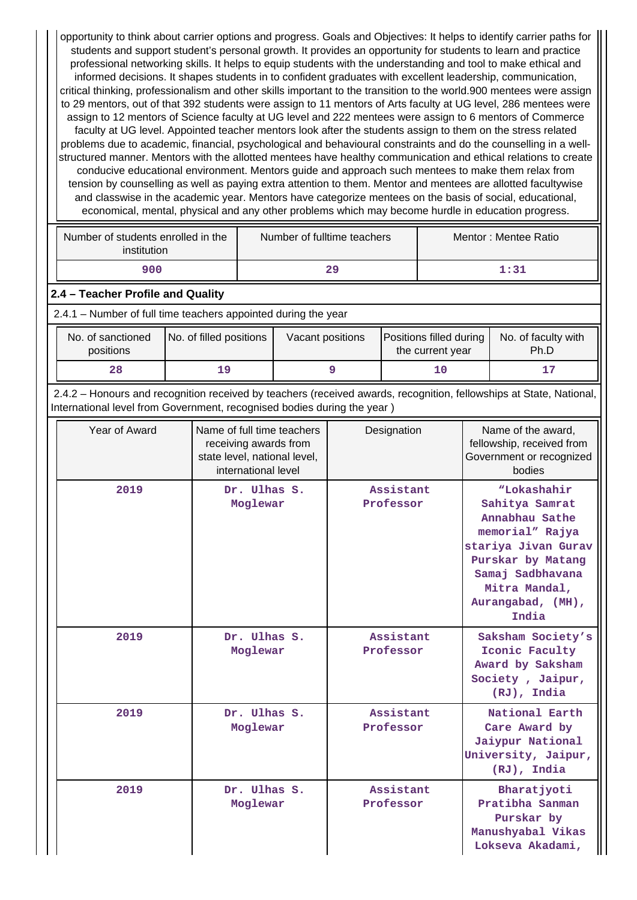opportunity to think about carrier options and progress. Goals and Objectives: It helps to identify carrier paths for students and support student's personal growth. It provides an opportunity for students to learn and practice professional networking skills. It helps to equip students with the understanding and tool to make ethical and informed decisions. It shapes students in to confident graduates with excellent leadership, communication, critical thinking, professionalism and other skills important to the transition to the world.900 mentees were assign to 29 mentors, out of that 392 students were assign to 11 mentors of Arts faculty at UG level, 286 mentees were assign to 12 mentors of Science faculty at UG level and 222 mentees were assign to 6 mentors of Commerce faculty at UG level. Appointed teacher mentors look after the students assign to them on the stress related problems due to academic, financial, psychological and behavioural constraints and do the counselling in a wellstructured manner. Mentors with the allotted mentees have healthy communication and ethical relations to create conducive educational environment. Mentors guide and approach such mentees to make them relax from tension by counselling as well as paying extra attention to them. Mentor and mentees are allotted facultywise and classwise in the academic year. Mentors have categorize mentees on the basis of social, educational, economical, mental, physical and any other problems which may become hurdle in education progress.

| Number of students enrolled in the<br>institution | Number of fulltime teachers | Mentor: Mentee Ratio |
|---------------------------------------------------|-----------------------------|----------------------|
| 900                                               | 29                          | 1:31                 |

## **2.4 – Teacher Profile and Quality**

2.4.1 – Number of full time teachers appointed during the year

| No. of sanctioned<br>positions | No. of filled positions | Vacant positions | Positions filled during<br>the current year | No. of faculty with<br>Ph.D |
|--------------------------------|-------------------------|------------------|---------------------------------------------|-----------------------------|
| 28                             |                         |                  | T0.                                         | 17                          |

 2.4.2 – Honours and recognition received by teachers (received awards, recognition, fellowships at State, National, International level from Government, recognised bodies during the year )

| Year of Award | Name of full time teachers<br>receiving awards from<br>state level, national level,<br>international level | Designation            |                                                                                                                                                                                   |
|---------------|------------------------------------------------------------------------------------------------------------|------------------------|-----------------------------------------------------------------------------------------------------------------------------------------------------------------------------------|
| 2019          | Dr. Ulhas S.<br>Moglewar                                                                                   | Assistant<br>Professor | "Lokashahir<br>Sahitya Samrat<br>Annabhau Sathe<br>memorial" Rajya<br>stariya Jivan Gurav<br>Purskar by Matang<br>Samaj Sadbhavana<br>Mitra Mandal,<br>Aurangabad, (MH),<br>India |
| 2019          | Dr. Ulhas S.<br>Moglewar                                                                                   | Assistant<br>Professor | Saksham Society's<br>Iconic Faculty<br>Award by Saksham<br>Society, Jaipur,<br>(RJ), India                                                                                        |
| 2019          | Dr. Ulhas S.<br>Moglewar                                                                                   | Assistant<br>Professor | National Earth<br>Care Award by<br>Jaiypur National<br>University, Jaipur,<br>(RJ), India                                                                                         |
| 2019          | Dr. Ulhas S.<br>Moglewar                                                                                   | Assistant<br>Professor | Bharatjyoti<br>Pratibha Sanman<br>Purskar by<br>Manushyabal Vikas<br>Lokseva Akadami,                                                                                             |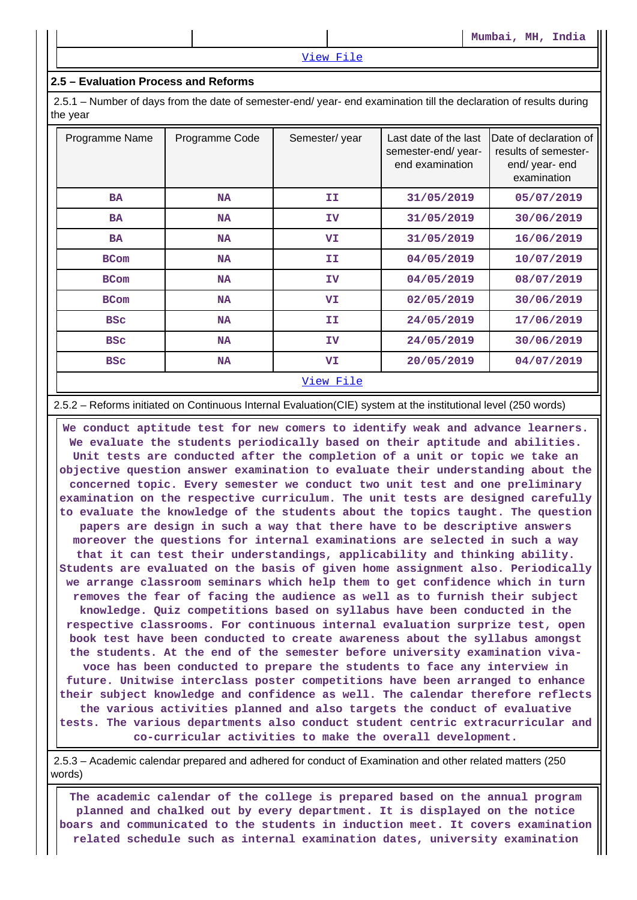#### View File

#### **2.5 – Evaluation Process and Reforms**

 2.5.1 – Number of days from the date of semester-end/ year- end examination till the declaration of results during the year

| Programme Name | Programme Code | Semester/year | Last date of the last<br>semester-end/year-<br>end examination | Date of declaration of<br>results of semester-<br>end/ year- end<br>examination |
|----------------|----------------|---------------|----------------------------------------------------------------|---------------------------------------------------------------------------------|
| <b>BA</b>      | <b>NA</b>      | IΙ            | 31/05/2019                                                     | 05/07/2019                                                                      |
| <b>BA</b>      | <b>NA</b>      | ΙV            | 31/05/2019                                                     | 30/06/2019                                                                      |
| <b>BA</b>      | <b>NA</b>      | VI            | 31/05/2019                                                     | 16/06/2019                                                                      |
| <b>BCom</b>    | <b>NA</b>      | ΙI.           | 04/05/2019                                                     | 10/07/2019                                                                      |
| <b>BCom</b>    | <b>NA</b>      | IV            | 04/05/2019                                                     | 08/07/2019                                                                      |
| <b>BCom</b>    | <b>NA</b>      | VI            | 02/05/2019                                                     | 30/06/2019                                                                      |
| <b>BSC</b>     | <b>NA</b>      | IΙ            | 24/05/2019                                                     | 17/06/2019                                                                      |
| <b>BSC</b>     | NA             | ΙV            | 24/05/2019                                                     | 30/06/2019                                                                      |
| <b>BSC</b>     | NA             | VI            | 20/05/2019                                                     | 04/07/2019                                                                      |
|                |                | View File     |                                                                |                                                                                 |

#### 2.5.2 – Reforms initiated on Continuous Internal Evaluation(CIE) system at the institutional level (250 words)

 **We conduct aptitude test for new comers to identify weak and advance learners. We evaluate the students periodically based on their aptitude and abilities. Unit tests are conducted after the completion of a unit or topic we take an objective question answer examination to evaluate their understanding about the concerned topic. Every semester we conduct two unit test and one preliminary examination on the respective curriculum. The unit tests are designed carefully to evaluate the knowledge of the students about the topics taught. The question papers are design in such a way that there have to be descriptive answers moreover the questions for internal examinations are selected in such a way that it can test their understandings, applicability and thinking ability. Students are evaluated on the basis of given home assignment also. Periodically we arrange classroom seminars which help them to get confidence which in turn removes the fear of facing the audience as well as to furnish their subject knowledge. Quiz competitions based on syllabus have been conducted in the respective classrooms. For continuous internal evaluation surprize test, open book test have been conducted to create awareness about the syllabus amongst the students. At the end of the semester before university examination vivavoce has been conducted to prepare the students to face any interview in future. Unitwise interclass poster competitions have been arranged to enhance their subject knowledge and confidence as well. The calendar therefore reflects the various activities planned and also targets the conduct of evaluative tests. The various departments also conduct student centric extracurricular and co-curricular activities to make the overall development.**

 2.5.3 – Academic calendar prepared and adhered for conduct of Examination and other related matters (250 words)

 **The academic calendar of the college is prepared based on the annual program planned and chalked out by every department. It is displayed on the notice boars and communicated to the students in induction meet. It covers examination related schedule such as internal examination dates, university examination**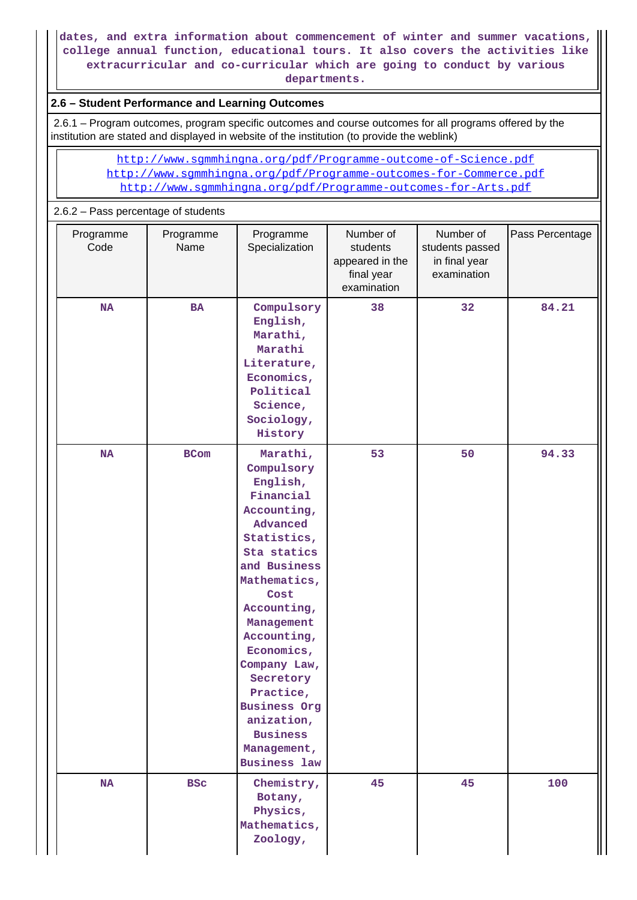**dates, and extra information about commencement of winter and summer vacations, college annual function, educational tours. It also covers the activities like extracurricular and co-curricular which are going to conduct by various departments.**

# **2.6 – Student Performance and Learning Outcomes**

 2.6.1 – Program outcomes, program specific outcomes and course outcomes for all programs offered by the institution are stated and displayed in website of the institution (to provide the weblink)

 http://www.sgmmhingna.org/pdf/Programme-outcome-of-Science.pdf http://www.sgmmhingna.org/pdf/Programme-outcomes-for-Commerce.pdf http://www.sgmmhingna.org/pdf/Programme-outcomes-for-Arts.pdf

# 2.6.2 – Pass percentage of students

| Programme<br>Code | Programme<br>Name | Programme<br>Specialization                                                                                                                                                                                                                                                                                                                        | Number of<br>students<br>appeared in the<br>final year<br>examination | Number of<br>students passed<br>in final year<br>examination | Pass Percentage |
|-------------------|-------------------|----------------------------------------------------------------------------------------------------------------------------------------------------------------------------------------------------------------------------------------------------------------------------------------------------------------------------------------------------|-----------------------------------------------------------------------|--------------------------------------------------------------|-----------------|
| <b>NA</b>         | BA                | Compulsory<br>English,<br>Marathi,<br>Marathi<br>Literature,<br>Economics,<br>Political<br>Science,<br>Sociology,<br>History                                                                                                                                                                                                                       | 38<br>32                                                              |                                                              | 84.21           |
| NA                | <b>BCom</b>       | Marathi,<br>Compulsory<br>English,<br>Financial<br>Accounting,<br>Advanced<br>Statistics,<br>Sta statics<br>and Business<br>Mathematics,<br>Cost<br>Accounting,<br>Management<br>Accounting,<br>Economics,<br>Company Law,<br>Secretory<br>Practice,<br><b>Business Org</b><br>anization,<br><b>Business</b><br>Management,<br><b>Business law</b> | 53                                                                    | 50                                                           | 94.33           |
| $\mathbf{NA}$     | <b>BSC</b>        | Chemistry,<br>Botany,<br>Physics,<br>Mathematics,<br>Zoology,                                                                                                                                                                                                                                                                                      | 45                                                                    | 45                                                           | 100             |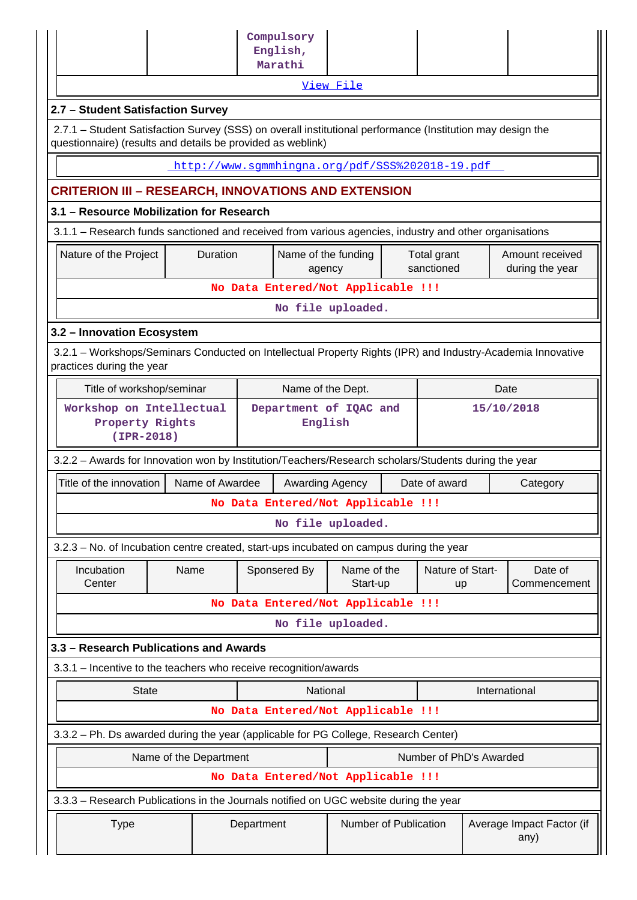|                                                                                                                                                                           |                        | Compulsory<br>English,<br>Marathi               |                         |                           |               |                                    |
|---------------------------------------------------------------------------------------------------------------------------------------------------------------------------|------------------------|-------------------------------------------------|-------------------------|---------------------------|---------------|------------------------------------|
|                                                                                                                                                                           |                        |                                                 | View File               |                           |               |                                    |
| 2.7 - Student Satisfaction Survey                                                                                                                                         |                        |                                                 |                         |                           |               |                                    |
| 2.7.1 - Student Satisfaction Survey (SSS) on overall institutional performance (Institution may design the<br>questionnaire) (results and details be provided as weblink) |                        |                                                 |                         |                           |               |                                    |
|                                                                                                                                                                           |                        | http://www.sqmmhingna.org/pdf/SSS%202018-19.pdf |                         |                           |               |                                    |
| <b>CRITERION III - RESEARCH, INNOVATIONS AND EXTENSION</b>                                                                                                                |                        |                                                 |                         |                           |               |                                    |
| 3.1 - Resource Mobilization for Research                                                                                                                                  |                        |                                                 |                         |                           |               |                                    |
| 3.1.1 - Research funds sanctioned and received from various agencies, industry and other organisations                                                                    |                        |                                                 |                         |                           |               |                                    |
| Nature of the Project                                                                                                                                                     | Duration               | Name of the funding<br>agency                   |                         | Total grant<br>sanctioned |               | Amount received<br>during the year |
|                                                                                                                                                                           |                        | No Data Entered/Not Applicable !!!              |                         |                           |               |                                    |
|                                                                                                                                                                           |                        |                                                 | No file uploaded.       |                           |               |                                    |
| 3.2 - Innovation Ecosystem                                                                                                                                                |                        |                                                 |                         |                           |               |                                    |
| 3.2.1 - Workshops/Seminars Conducted on Intellectual Property Rights (IPR) and Industry-Academia Innovative<br>practices during the year                                  |                        |                                                 |                         |                           |               |                                    |
| Title of workshop/seminar                                                                                                                                                 |                        | Name of the Dept.                               |                         |                           | Date          |                                    |
| Workshop on Intellectual<br>Property Rights<br>$(IPR-2018)$                                                                                                               |                        | Department of IQAC and<br>English               |                         |                           | 15/10/2018    |                                    |
| 3.2.2 - Awards for Innovation won by Institution/Teachers/Research scholars/Students during the year                                                                      |                        |                                                 |                         |                           |               |                                    |
| Title of the innovation                                                                                                                                                   | Name of Awardee        | Awarding Agency                                 |                         | Date of award             |               | Category                           |
|                                                                                                                                                                           |                        | No Data Entered/Not Applicable !!!              |                         |                           |               |                                    |
|                                                                                                                                                                           |                        |                                                 | No file uploaded.       |                           |               |                                    |
| 3.2.3 – No. of Incubation centre created, start-ups incubated on campus during the year                                                                                   |                        |                                                 |                         |                           |               |                                    |
| Incubation<br>Center                                                                                                                                                      | Name                   | Sponsered By                                    | Name of the<br>Start-up | Nature of Start-<br>up    |               | Date of<br>Commencement            |
|                                                                                                                                                                           |                        | No Data Entered/Not Applicable !!!              |                         |                           |               |                                    |
|                                                                                                                                                                           |                        |                                                 | No file uploaded.       |                           |               |                                    |
| 3.3 - Research Publications and Awards                                                                                                                                    |                        |                                                 |                         |                           |               |                                    |
| 3.3.1 - Incentive to the teachers who receive recognition/awards                                                                                                          |                        |                                                 |                         |                           |               |                                    |
| <b>State</b>                                                                                                                                                              |                        | National                                        |                         |                           | International |                                    |
|                                                                                                                                                                           |                        | No Data Entered/Not Applicable !!!              |                         |                           |               |                                    |
| 3.3.2 - Ph. Ds awarded during the year (applicable for PG College, Research Center)                                                                                       |                        |                                                 |                         |                           |               |                                    |
|                                                                                                                                                                           | Name of the Department |                                                 |                         | Number of PhD's Awarded   |               |                                    |
|                                                                                                                                                                           |                        | No Data Entered/Not Applicable !!!              |                         |                           |               |                                    |
| 3.3.3 - Research Publications in the Journals notified on UGC website during the year                                                                                     |                        |                                                 |                         |                           |               |                                    |
| <b>Type</b>                                                                                                                                                               |                        | Department                                      | Number of Publication   |                           |               | Average Impact Factor (if<br>any)  |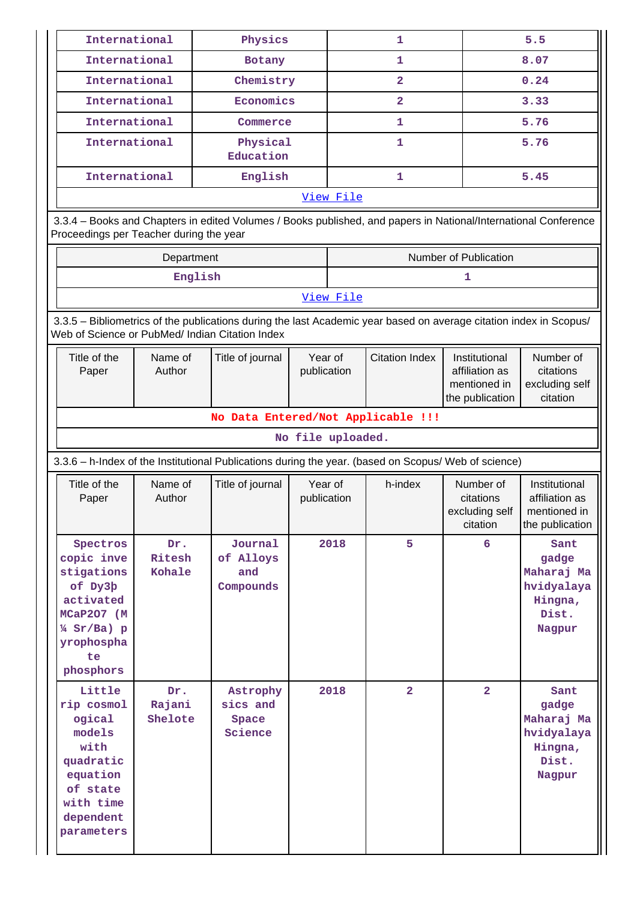| International |                                                                                                                                       |                                         | Physics                                                                                                            |                        | 1                                                                                                                                 |                | 5.5                                     |                                                                         |
|---------------|---------------------------------------------------------------------------------------------------------------------------------------|-----------------------------------------|--------------------------------------------------------------------------------------------------------------------|------------------------|-----------------------------------------------------------------------------------------------------------------------------------|----------------|-----------------------------------------|-------------------------------------------------------------------------|
|               | International                                                                                                                         |                                         | <b>Botany</b>                                                                                                      |                        | 1                                                                                                                                 |                |                                         | 8.07                                                                    |
|               | International                                                                                                                         |                                         | Chemistry                                                                                                          |                        |                                                                                                                                   | $\overline{2}$ |                                         | 0.24                                                                    |
|               | International<br>Economics                                                                                                            |                                         |                                                                                                                    |                        | $\overline{\mathbf{2}}$                                                                                                           |                |                                         | 3.33                                                                    |
|               | International<br>Commerce                                                                                                             |                                         |                                                                                                                    |                        | 1                                                                                                                                 |                |                                         | 5.76                                                                    |
|               | International<br>Physical<br>Education                                                                                                |                                         |                                                                                                                    |                        |                                                                                                                                   | 1              |                                         | 5.76                                                                    |
|               | International                                                                                                                         |                                         | English                                                                                                            |                        |                                                                                                                                   | 1              |                                         | 5.45                                                                    |
|               |                                                                                                                                       |                                         |                                                                                                                    |                        | View File                                                                                                                         |                |                                         |                                                                         |
|               |                                                                                                                                       | Proceedings per Teacher during the year | 3.3.4 - Books and Chapters in edited Volumes / Books published, and papers in National/International Conference    |                        |                                                                                                                                   |                |                                         |                                                                         |
|               |                                                                                                                                       | Department                              |                                                                                                                    |                        |                                                                                                                                   |                | Number of Publication                   |                                                                         |
|               |                                                                                                                                       | English                                 |                                                                                                                    |                        |                                                                                                                                   |                | 1                                       |                                                                         |
|               |                                                                                                                                       |                                         |                                                                                                                    |                        | View File                                                                                                                         |                |                                         |                                                                         |
|               |                                                                                                                                       |                                         | 3.3.5 - Bibliometrics of the publications during the last Academic year based on average citation index in Scopus/ |                        |                                                                                                                                   |                |                                         |                                                                         |
|               |                                                                                                                                       |                                         | Web of Science or PubMed/ Indian Citation Index                                                                    |                        |                                                                                                                                   |                |                                         |                                                                         |
|               | Title of the<br>Name of<br>Title of journal<br>Author<br>Paper                                                                        |                                         |                                                                                                                    |                        | <b>Citation Index</b><br>Year of<br>Institutional<br>publication<br>affiliation as<br>mentioned in<br>the publication<br>citation |                |                                         | Number of<br>citations<br>excluding self                                |
|               |                                                                                                                                       |                                         | No Data Entered/Not Applicable !!!                                                                                 |                        |                                                                                                                                   |                |                                         |                                                                         |
|               |                                                                                                                                       |                                         |                                                                                                                    | No file uploaded.      |                                                                                                                                   |                |                                         |                                                                         |
|               |                                                                                                                                       |                                         | 3.3.6 - h-Index of the Institutional Publications during the year. (based on Scopus/ Web of science)               |                        |                                                                                                                                   |                |                                         |                                                                         |
|               | Title of the                                                                                                                          | Name of                                 | Title of journal                                                                                                   |                        |                                                                                                                                   | h-index        | Number of                               | Institutional                                                           |
|               | Paper                                                                                                                                 | Author                                  |                                                                                                                    | Year of<br>publication |                                                                                                                                   |                | citations<br>excluding self<br>citation | affiliation as<br>mentioned in<br>the publication                       |
|               | Spectros<br>copic inve<br>stigations<br>of Dy3b<br>activated<br>MCaP207 (M<br>$\frac{1}{4}$ Sr/Ba) p<br>yrophospha<br>te<br>phosphors | Dr.<br>Ritesh<br>Kohale                 | Journal<br>of Alloys<br>and<br>Compounds                                                                           |                        | 2018                                                                                                                              | 5              | 6                                       | Sant<br>gadge<br>Maharaj Ma<br>hvidyalaya<br>Hingna,<br>Dist.<br>Nagpur |
|               | Little<br>rip cosmol<br>ogical<br>models<br>with<br>quadratic<br>equation<br>of state<br>with time<br>dependent                       | Dr.<br>Rajani<br>Shelote                | Astrophy<br>sics and<br>Space<br>Science                                                                           |                        | 2018                                                                                                                              | $\overline{a}$ | $\overline{a}$                          | Sant<br>gadge<br>Maharaj Ma<br>hvidyalaya<br>Hingna,<br>Dist.<br>Nagpur |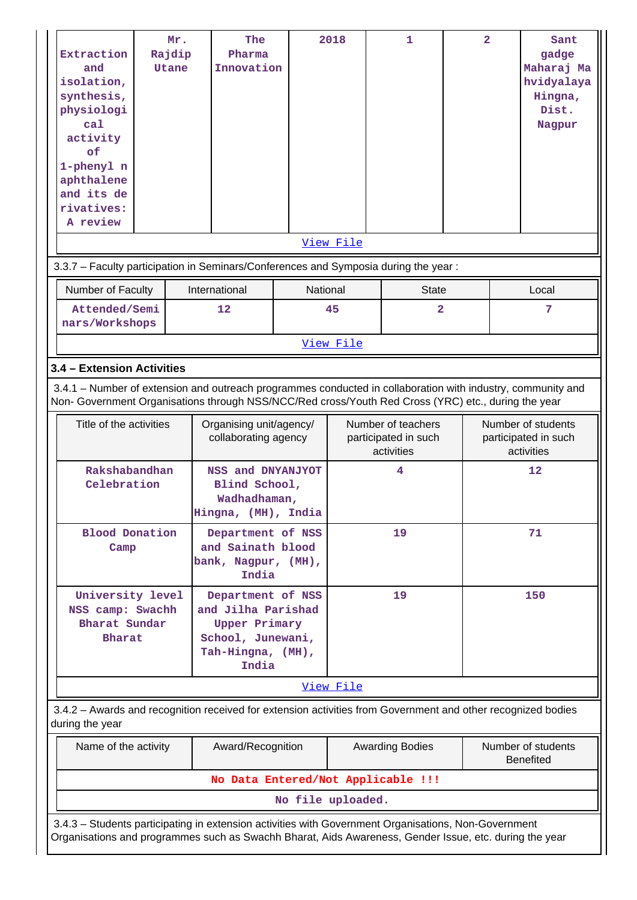| Extraction<br>and<br>isolation,<br>synthesis,<br>physiologi<br>ca1<br>activity<br>of<br>1-phenyl n<br>aphthalene<br>and its de<br>rivatives:<br>A review | Mr.<br>Rajdip<br>Utane | The<br>Pharma<br>Innovation                                                                                                                                                                                        |                   | 2018<br>View File | 1                                                        | $\overline{a}$ |  | Sant<br>gadge<br>Maharaj Ma<br>hvidyalaya<br>Hingna,<br>Dist.<br>Nagpur |
|----------------------------------------------------------------------------------------------------------------------------------------------------------|------------------------|--------------------------------------------------------------------------------------------------------------------------------------------------------------------------------------------------------------------|-------------------|-------------------|----------------------------------------------------------|----------------|--|-------------------------------------------------------------------------|
|                                                                                                                                                          |                        | 3.3.7 - Faculty participation in Seminars/Conferences and Symposia during the year:                                                                                                                                |                   |                   |                                                          |                |  |                                                                         |
| Number of Faculty                                                                                                                                        |                        | International                                                                                                                                                                                                      | National          |                   | <b>State</b>                                             |                |  | Local                                                                   |
| Attended/Semi<br>nars/Workshops                                                                                                                          |                        | 12                                                                                                                                                                                                                 |                   | 45                | $\overline{2}$                                           |                |  | 7                                                                       |
|                                                                                                                                                          |                        |                                                                                                                                                                                                                    |                   | View File         |                                                          |                |  |                                                                         |
| 3.4 - Extension Activities                                                                                                                               |                        |                                                                                                                                                                                                                    |                   |                   |                                                          |                |  |                                                                         |
|                                                                                                                                                          |                        | 3.4.1 – Number of extension and outreach programmes conducted in collaboration with industry, community and<br>Non- Government Organisations through NSS/NCC/Red cross/Youth Red Cross (YRC) etc., during the year |                   |                   |                                                          |                |  |                                                                         |
| Title of the activities                                                                                                                                  |                        | Organising unit/agency/<br>collaborating agency                                                                                                                                                                    |                   |                   | Number of teachers<br>participated in such<br>activities |                |  | Number of students<br>participated in such<br>activities                |
| Rakshabandhan<br>Celebration                                                                                                                             |                        | NSS and DNYANJYOT<br>Blind School,<br>Wadhadhaman,<br>Hingna, (MH), India                                                                                                                                          |                   |                   | 4                                                        |                |  | 12                                                                      |
| <b>Blood Donation</b><br>Camp                                                                                                                            |                        | Department of NSS<br>and Sainath blood<br>bank, Nagpur, (MH),<br>India                                                                                                                                             |                   |                   | 19                                                       |                |  | 71                                                                      |
| University level<br>NSS camp: Swachh<br>Bharat Sundar<br><b>Bharat</b>                                                                                   |                        | Department of NSS<br>and Jilha Parishad<br><b>Upper Primary</b><br>School, Junewani,<br>Tah-Hingna, (MH),<br>India                                                                                                 |                   |                   | 19                                                       |                |  | 150                                                                     |
|                                                                                                                                                          |                        |                                                                                                                                                                                                                    |                   | View File         |                                                          |                |  |                                                                         |
| during the year                                                                                                                                          |                        | 3.4.2 - Awards and recognition received for extension activities from Government and other recognized bodies                                                                                                       |                   |                   |                                                          |                |  |                                                                         |
| Name of the activity<br>Award/Recognition<br><b>Awarding Bodies</b><br>Number of students<br><b>Benefited</b>                                            |                        |                                                                                                                                                                                                                    |                   |                   |                                                          |                |  |                                                                         |
|                                                                                                                                                          |                        |                                                                                                                                                                                                                    |                   |                   | No Data Entered/Not Applicable !!!                       |                |  |                                                                         |
|                                                                                                                                                          |                        |                                                                                                                                                                                                                    | No file uploaded. |                   |                                                          |                |  |                                                                         |
|                                                                                                                                                          |                        | 3.4.3 - Students participating in extension activities with Government Organisations, Non-Government<br>Organisations and programmes such as Swachh Bharat, Aids Awareness, Gender Issue, etc. during the year     |                   |                   |                                                          |                |  |                                                                         |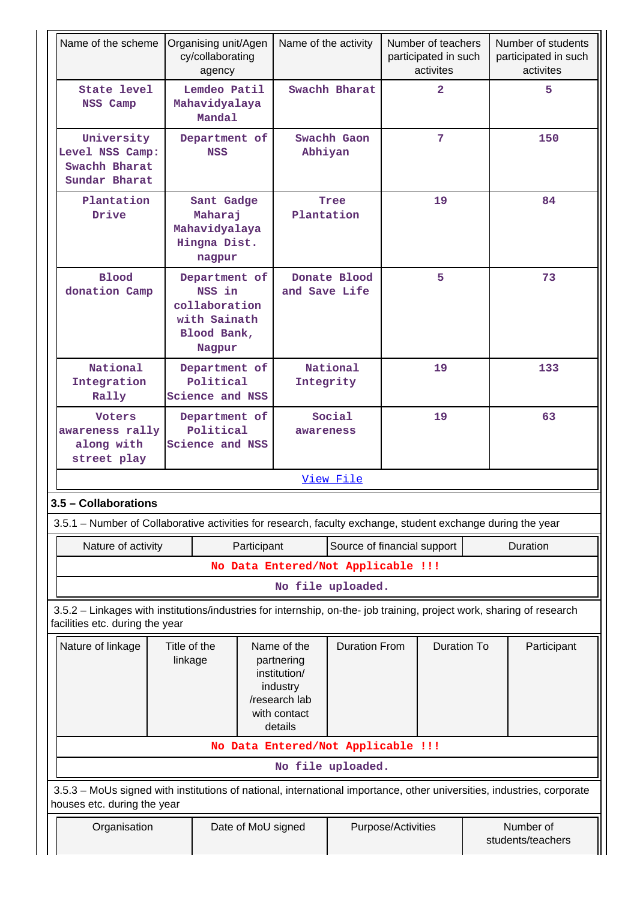| Name of the scheme                                                                                                                                       |                                          | Organising unit/Agen<br>cy/collaborating<br>agency                                |             | Name of the activity                                                                              |                             |                                            | Number of teachers<br>participated in such<br>activites |  | Number of students<br>participated in such<br>activites |
|----------------------------------------------------------------------------------------------------------------------------------------------------------|------------------------------------------|-----------------------------------------------------------------------------------|-------------|---------------------------------------------------------------------------------------------------|-----------------------------|--------------------------------------------|---------------------------------------------------------|--|---------------------------------------------------------|
| State level<br>NSS Camp                                                                                                                                  |                                          | Lemdeo Patil<br>Mahavidyalaya<br>Mandal                                           |             |                                                                                                   | Swachh Bharat               |                                            | $\overline{2}$                                          |  | 5                                                       |
| University<br>Level NSS Camp:<br>Swachh Bharat<br>Sundar Bharat                                                                                          |                                          | Department of<br><b>NSS</b>                                                       |             | Swachh Gaon<br>Abhiyan                                                                            |                             | $7\phantom{.}$                             |                                                         |  | 150                                                     |
| Plantation<br>Drive                                                                                                                                      |                                          | Sant Gadge<br>Maharaj<br>Mahavidyalaya<br>Hingna Dist.<br>nagpur                  |             | Tree<br>Plantation                                                                                |                             | 19                                         |                                                         |  | 84                                                      |
| <b>Blood</b><br>donation Camp                                                                                                                            |                                          | Department of<br>NSS in<br>collaboration<br>with Sainath<br>Blood Bank,<br>Nagpur |             | Donate Blood<br>and Save Life                                                                     |                             | 5                                          |                                                         |  | 73                                                      |
| National<br>Integration<br>Rally                                                                                                                         |                                          | Department of<br>Political<br>Science and NSS                                     |             |                                                                                                   | National<br>Integrity       |                                            | 19                                                      |  | 133                                                     |
| <b>Voters</b><br>awareness rally<br>along with<br>street play                                                                                            |                                          | Department of<br>Political<br>Science and NSS                                     |             |                                                                                                   | Social<br>awareness         |                                            | 19                                                      |  | 63                                                      |
|                                                                                                                                                          |                                          |                                                                                   |             |                                                                                                   | View File                   |                                            |                                                         |  |                                                         |
| 3.5 - Collaborations                                                                                                                                     |                                          |                                                                                   |             |                                                                                                   |                             |                                            |                                                         |  |                                                         |
| 3.5.1 – Number of Collaborative activities for research, faculty exchange, student exchange during the year                                              |                                          |                                                                                   |             |                                                                                                   |                             |                                            |                                                         |  |                                                         |
| Nature of activity                                                                                                                                       |                                          |                                                                                   | Participant |                                                                                                   | Source of financial support |                                            |                                                         |  | Duration                                                |
|                                                                                                                                                          |                                          |                                                                                   |             | No Data Entered/Not Applicable !!!                                                                |                             |                                            |                                                         |  |                                                         |
|                                                                                                                                                          |                                          |                                                                                   |             |                                                                                                   | No file uploaded.           |                                            |                                                         |  |                                                         |
| 3.5.2 - Linkages with institutions/industries for internship, on-the- job training, project work, sharing of research<br>facilities etc. during the year |                                          |                                                                                   |             |                                                                                                   |                             |                                            |                                                         |  |                                                         |
| Nature of linkage                                                                                                                                        | Title of the<br>linkage                  |                                                                                   |             | Name of the<br>partnering<br>institution/<br>industry<br>/research lab<br>with contact<br>details |                             | <b>Duration To</b><br><b>Duration From</b> |                                                         |  | Participant                                             |
|                                                                                                                                                          |                                          |                                                                                   |             | No Data Entered/Not Applicable !!!                                                                |                             |                                            |                                                         |  |                                                         |
|                                                                                                                                                          |                                          |                                                                                   |             |                                                                                                   | No file uploaded.           |                                            |                                                         |  |                                                         |
| 3.5.3 - MoUs signed with institutions of national, international importance, other universities, industries, corporate<br>houses etc. during the year    |                                          |                                                                                   |             |                                                                                                   |                             |                                            |                                                         |  |                                                         |
| Organisation                                                                                                                                             | Purpose/Activities<br>Date of MoU signed |                                                                                   |             |                                                                                                   |                             | Number of<br>students/teachers             |                                                         |  |                                                         |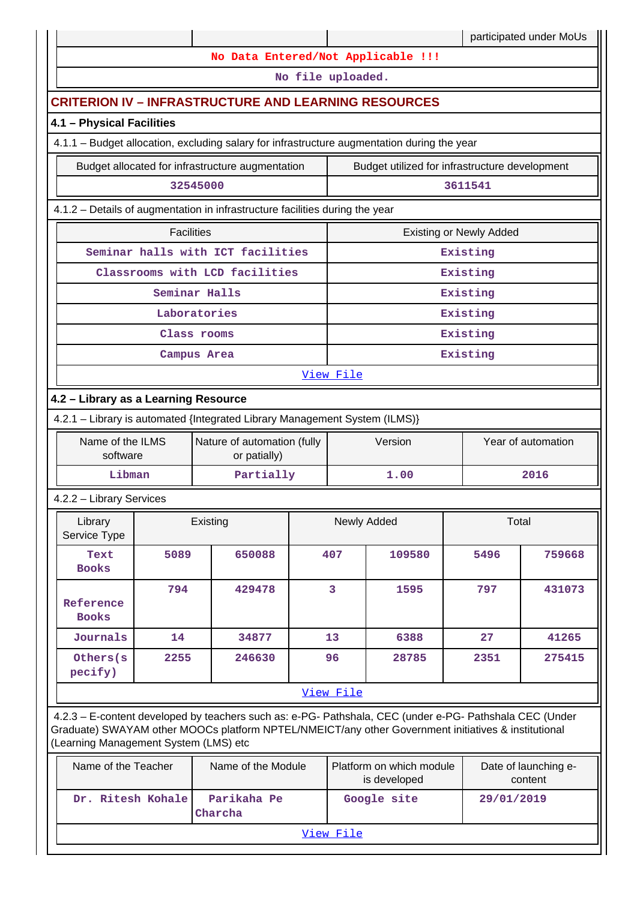|                                       |                   |                                                                                                                                                                                                                |  |                                                |                                          |                                | participated under MoUs         |
|---------------------------------------|-------------------|----------------------------------------------------------------------------------------------------------------------------------------------------------------------------------------------------------------|--|------------------------------------------------|------------------------------------------|--------------------------------|---------------------------------|
|                                       |                   | No Data Entered/Not Applicable !!!                                                                                                                                                                             |  |                                                |                                          |                                |                                 |
|                                       |                   |                                                                                                                                                                                                                |  | No file uploaded.                              |                                          |                                |                                 |
|                                       |                   | <b>CRITERION IV - INFRASTRUCTURE AND LEARNING RESOURCES</b>                                                                                                                                                    |  |                                                |                                          |                                |                                 |
| 4.1 - Physical Facilities             |                   |                                                                                                                                                                                                                |  |                                                |                                          |                                |                                 |
|                                       |                   | 4.1.1 - Budget allocation, excluding salary for infrastructure augmentation during the year                                                                                                                    |  |                                                |                                          |                                |                                 |
|                                       |                   | Budget allocated for infrastructure augmentation                                                                                                                                                               |  | Budget utilized for infrastructure development |                                          |                                |                                 |
| 32545000                              |                   |                                                                                                                                                                                                                |  |                                                |                                          | 3611541                        |                                 |
|                                       |                   | 4.1.2 - Details of augmentation in infrastructure facilities during the year                                                                                                                                   |  |                                                |                                          |                                |                                 |
|                                       | <b>Facilities</b> |                                                                                                                                                                                                                |  |                                                |                                          | <b>Existing or Newly Added</b> |                                 |
|                                       |                   | Seminar halls with ICT facilities                                                                                                                                                                              |  |                                                |                                          | Existing                       |                                 |
|                                       |                   | Classrooms with LCD facilities                                                                                                                                                                                 |  |                                                |                                          | Existing                       |                                 |
|                                       |                   | Seminar Halls                                                                                                                                                                                                  |  |                                                |                                          | Existing                       |                                 |
|                                       |                   | Laboratories                                                                                                                                                                                                   |  |                                                |                                          | Existing                       |                                 |
|                                       |                   | Class rooms                                                                                                                                                                                                    |  |                                                |                                          | Existing                       |                                 |
|                                       |                   | Campus Area                                                                                                                                                                                                    |  |                                                |                                          | Existing                       |                                 |
| View File                             |                   |                                                                                                                                                                                                                |  |                                                |                                          |                                |                                 |
| 4.2 - Library as a Learning Resource  |                   |                                                                                                                                                                                                                |  |                                                |                                          |                                |                                 |
|                                       |                   | 4.2.1 - Library is automated {Integrated Library Management System (ILMS)}                                                                                                                                     |  |                                                |                                          |                                |                                 |
| Name of the ILMS<br>software          |                   | Nature of automation (fully<br>or patially)                                                                                                                                                                    |  |                                                | Version                                  |                                | Year of automation              |
| Libman                                |                   | Partially                                                                                                                                                                                                      |  |                                                | 1.00                                     |                                | 2016                            |
| 4.2.2 - Library Services              |                   |                                                                                                                                                                                                                |  |                                                |                                          |                                |                                 |
| Library<br>Service Type               |                   | Existing                                                                                                                                                                                                       |  |                                                | Newly Added                              | Total                          |                                 |
| Text<br><b>Books</b>                  | 5089              | 650088                                                                                                                                                                                                         |  | 407                                            | 109580                                   | 5496                           | 759668                          |
| Reference<br><b>Books</b>             | 794               | 429478                                                                                                                                                                                                         |  | $\overline{\mathbf{3}}$                        | 1595                                     | 797                            | 431073                          |
| Journals                              | 14                | 34877                                                                                                                                                                                                          |  | 13                                             | 6388                                     | 27                             | 41265                           |
| Others (s)<br>pecify)                 | 2255              | 246630                                                                                                                                                                                                         |  | 96                                             | 28785                                    | 2351                           | 275415                          |
|                                       |                   |                                                                                                                                                                                                                |  | View File                                      |                                          |                                |                                 |
| (Learning Management System (LMS) etc |                   | 4.2.3 - E-content developed by teachers such as: e-PG- Pathshala, CEC (under e-PG- Pathshala CEC (Under<br>Graduate) SWAYAM other MOOCs platform NPTEL/NMEICT/any other Government initiatives & institutional |  |                                                |                                          |                                |                                 |
| Name of the Teacher                   |                   | Name of the Module                                                                                                                                                                                             |  |                                                | Platform on which module<br>is developed |                                | Date of launching e-<br>content |
| Dr. Ritesh Kohale                     |                   | Parikaha Pe<br>Charcha                                                                                                                                                                                         |  |                                                | Google site                              | 29/01/2019                     |                                 |

View File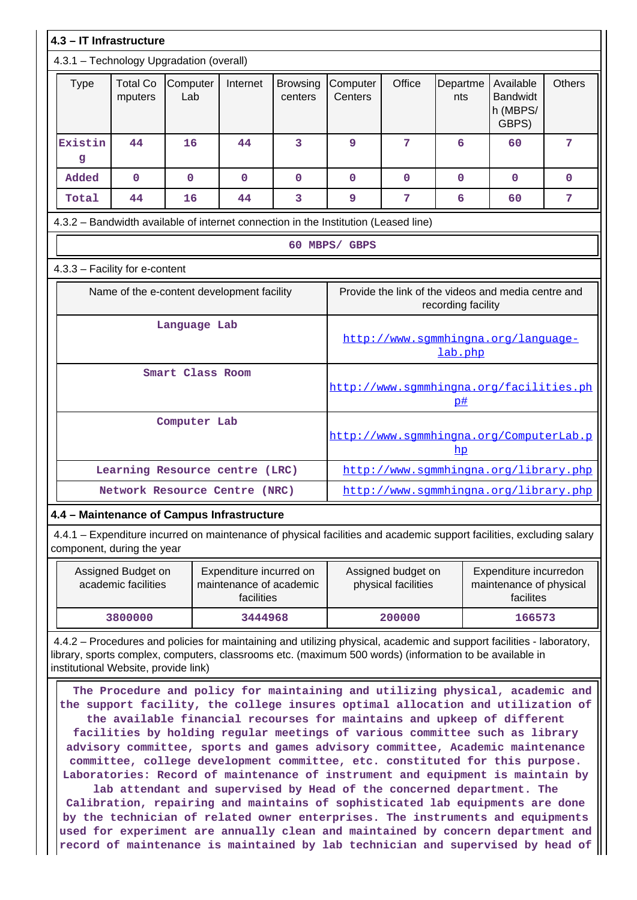|                                                                                     | 4.3 - IT Infrastructure                    |                 |             |                                                                           |                                                |                                         |                                         |                                                   |               |
|-------------------------------------------------------------------------------------|--------------------------------------------|-----------------|-------------|---------------------------------------------------------------------------|------------------------------------------------|-----------------------------------------|-----------------------------------------|---------------------------------------------------|---------------|
| 4.3.1 - Technology Upgradation (overall)                                            |                                            |                 |             |                                                                           |                                                |                                         |                                         |                                                   |               |
| Type                                                                                | <b>Total Co</b><br>mputers                 | Computer<br>Lab | Internet    | <b>Browsing</b><br>centers                                                | Computer<br>Centers                            | Office                                  | Departme<br>nts                         | Available<br><b>Bandwidt</b><br>h (MBPS/<br>GBPS) | <b>Others</b> |
| Existin<br>g                                                                        | 44                                         | 16              | 44          | 3                                                                         | 9                                              | 7                                       | 6                                       | 60                                                | 7             |
| Added                                                                               | $\mathbf 0$                                | $\mathbf{O}$    | $\mathbf 0$ | $\mathbf 0$                                                               | 0                                              | $\mathbf 0$                             | $\mathbf{O}$                            | $\mathbf 0$                                       | $\mathbf{O}$  |
| Total                                                                               | 44                                         | 16              | 44          | 3                                                                         | 9                                              | 7                                       | 6                                       | 60                                                | 7             |
| 4.3.2 - Bandwidth available of internet connection in the Institution (Leased line) |                                            |                 |             |                                                                           |                                                |                                         |                                         |                                                   |               |
|                                                                                     |                                            |                 |             |                                                                           | 60 MBPS/ GBPS                                  |                                         |                                         |                                                   |               |
| 4.3.3 - Facility for e-content                                                      |                                            |                 |             |                                                                           |                                                |                                         |                                         |                                                   |               |
|                                                                                     | Name of the e-content development facility |                 |             | Provide the link of the videos and media centre and<br>recording facility |                                                |                                         |                                         |                                                   |               |
|                                                                                     | Language Lab                               |                 |             |                                                                           | http://www.sqmmhingna.org/language-<br>lab.php |                                         |                                         |                                                   |               |
|                                                                                     | Smart Class Room                           |                 |             |                                                                           |                                                | p#                                      | http://www.sqmmhingna.org/facilities.ph |                                                   |               |
| Computer Lab                                                                        |                                            |                 |             |                                                                           | hp                                             | http://www.sgmmhingna.org/ComputerLab.p |                                         |                                                   |               |
|                                                                                     | Learning Resource centre (LRC)             |                 |             |                                                                           | http://www.sqmmhingna.org/library.php          |                                         |                                         |                                                   |               |
| Network Resource Centre (NRC)                                                       |                                            |                 |             | http://www.sgmmhingna.org/library.php                                     |                                                |                                         |                                         |                                                   |               |
|                                                                                     | 4.4 - Maintenance of Campus Infrastructure |                 |             |                                                                           |                                                |                                         |                                         |                                                   |               |

 4.4.1 – Expenditure incurred on maintenance of physical facilities and academic support facilities, excluding salary component, during the year

| Assigned Budget on<br>academic facilities | Expenditure incurred on<br>maintenance of academic<br>facilities | Assigned budget on<br>physical facilities | Expenditure incurredon<br>maintenance of physical<br>facilites |  |
|-------------------------------------------|------------------------------------------------------------------|-------------------------------------------|----------------------------------------------------------------|--|
| 3800000                                   | 3444968                                                          | 200000                                    | 166573                                                         |  |

 4.4.2 – Procedures and policies for maintaining and utilizing physical, academic and support facilities - laboratory, library, sports complex, computers, classrooms etc. (maximum 500 words) (information to be available in institutional Website, provide link)

 **The Procedure and policy for maintaining and utilizing physical, academic and the support facility, the college insures optimal allocation and utilization of the available financial recourses for maintains and upkeep of different facilities by holding regular meetings of various committee such as library advisory committee, sports and games advisory committee, Academic maintenance committee, college development committee, etc. constituted for this purpose. Laboratories: Record of maintenance of instrument and equipment is maintain by lab attendant and supervised by Head of the concerned department. The**

**Calibration, repairing and maintains of sophisticated lab equipments are done by the technician of related owner enterprises. The instruments and equipments used for experiment are annually clean and maintained by concern department and record of maintenance is maintained by lab technician and supervised by head of**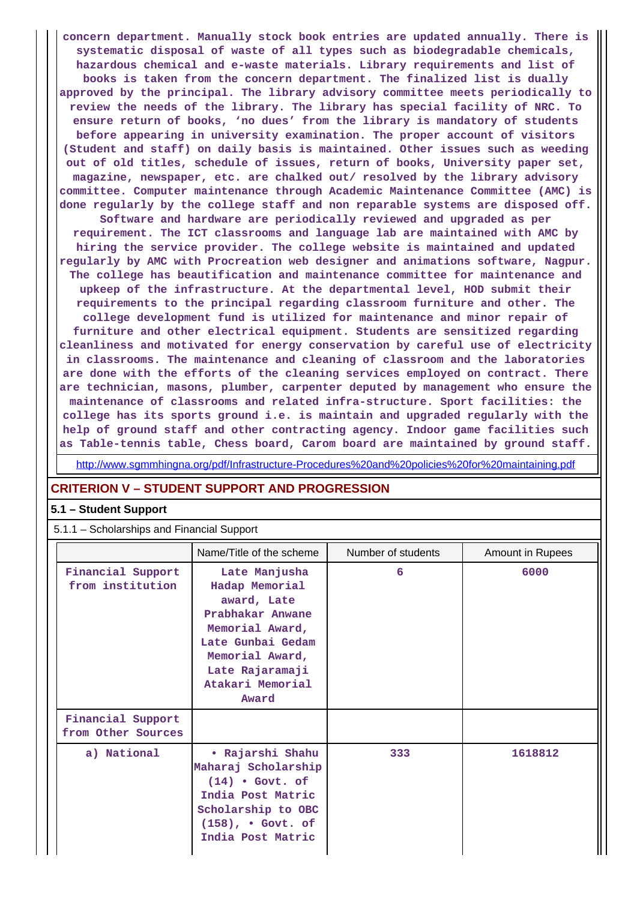**concern department. Manually stock book entries are updated annually. There is systematic disposal of waste of all types such as biodegradable chemicals, hazardous chemical and e-waste materials. Library requirements and list of books is taken from the concern department. The finalized list is dually approved by the principal. The library advisory committee meets periodically to review the needs of the library. The library has special facility of NRC. To ensure return of books, 'no dues' from the library is mandatory of students before appearing in university examination. The proper account of visitors (Student and staff) on daily basis is maintained. Other issues such as weeding out of old titles, schedule of issues, return of books, University paper set, magazine, newspaper, etc. are chalked out/ resolved by the library advisory committee. Computer maintenance through Academic Maintenance Committee (AMC) is done regularly by the college staff and non reparable systems are disposed off. Software and hardware are periodically reviewed and upgraded as per requirement. The ICT classrooms and language lab are maintained with AMC by hiring the service provider. The college website is maintained and updated regularly by AMC with Procreation web designer and animations software, Nagpur. The college has beautification and maintenance committee for maintenance and upkeep of the infrastructure. At the departmental level, HOD submit their requirements to the principal regarding classroom furniture and other. The college development fund is utilized for maintenance and minor repair of furniture and other electrical equipment. Students are sensitized regarding cleanliness and motivated for energy conservation by careful use of electricity in classrooms. The maintenance and cleaning of classroom and the laboratories are done with the efforts of the cleaning services employed on contract. There are technician, masons, plumber, carpenter deputed by management who ensure the maintenance of classrooms and related infra-structure. Sport facilities: the college has its sports ground i.e. is maintain and upgraded regularly with the help of ground staff and other contracting agency. Indoor game facilities such as Table-tennis table, Chess board, Carom board are maintained by ground staff.**

http://www.sgmmhingna.org/pdf/Infrastructure-Procedures%20and%20policies%20for%20maintaining.pdf

## **CRITERION V – STUDENT SUPPORT AND PROGRESSION**

#### **5.1 – Student Support**

5.1.1 – Scholarships and Financial Support

|                                         | Name/Title of the scheme                                                                                                                                                      | Number of students | <b>Amount in Rupees</b> |
|-----------------------------------------|-------------------------------------------------------------------------------------------------------------------------------------------------------------------------------|--------------------|-------------------------|
| Financial Support<br>from institution   | Late Manjusha<br>Hadap Memorial<br>award, Late<br>Prabhakar Anwane<br>Memorial Award,<br>Late Gunbai Gedam<br>Memorial Award,<br>Late Rajaramaji<br>Atakari Memorial<br>Award | 6                  | 6000                    |
| Financial Support<br>from Other Sources |                                                                                                                                                                               |                    |                         |
| a) National                             | • Rajarshi Shahu<br>Maharaj Scholarship<br>$(14)$ • Govt. of<br>India Post Matric<br>Scholarship to OBC<br>$(158)$ , . Govt. of<br>India Post Matric                          | 333                | 1618812                 |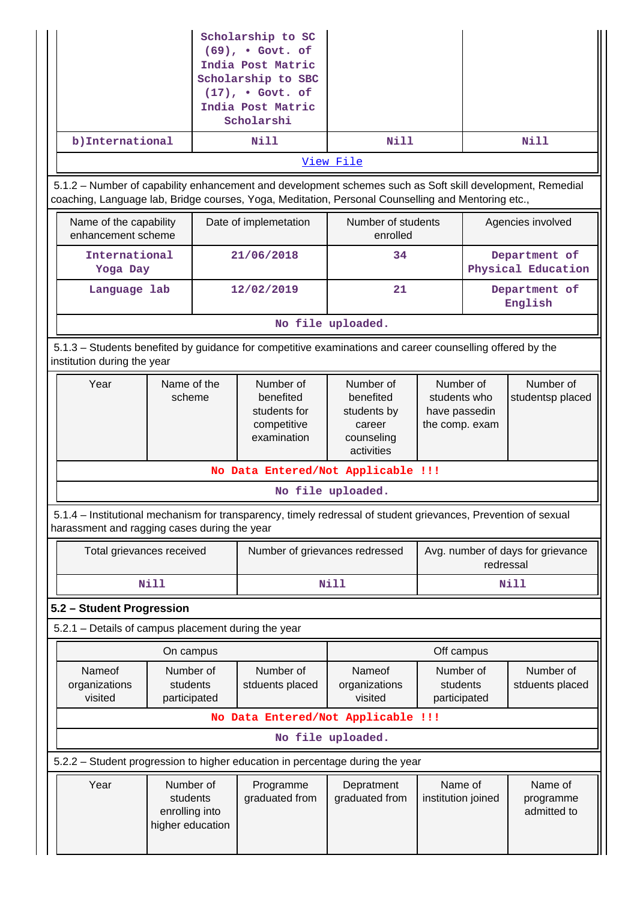| Scholarship to SC<br>$(69)$ , . Govt. of<br>India Post Matric<br>Scholarship to SBC<br>$(17)$ , . Govt. of<br>India Post Matric<br>Scholarshi<br>b) International<br><b>Nill</b>                                |                                                             |                                                                                                                |                                                                             |                                                              |                                     |
|-----------------------------------------------------------------------------------------------------------------------------------------------------------------------------------------------------------------|-------------------------------------------------------------|----------------------------------------------------------------------------------------------------------------|-----------------------------------------------------------------------------|--------------------------------------------------------------|-------------------------------------|
|                                                                                                                                                                                                                 |                                                             |                                                                                                                | Nill                                                                        |                                                              | <b>Nill</b>                         |
|                                                                                                                                                                                                                 |                                                             |                                                                                                                | View File                                                                   |                                                              |                                     |
| 5.1.2 - Number of capability enhancement and development schemes such as Soft skill development, Remedial<br>coaching, Language lab, Bridge courses, Yoga, Meditation, Personal Counselling and Mentoring etc., |                                                             |                                                                                                                |                                                                             |                                                              |                                     |
| Name of the capability<br>enhancement scheme                                                                                                                                                                    |                                                             | Date of implemetation                                                                                          | Number of students<br>enrolled                                              |                                                              | Agencies involved                   |
| International<br>Yoga Day                                                                                                                                                                                       |                                                             | 21/06/2018                                                                                                     | 34                                                                          |                                                              | Department of<br>Physical Education |
| Language lab                                                                                                                                                                                                    |                                                             | 12/02/2019                                                                                                     | 21                                                                          |                                                              | Department of<br>English            |
|                                                                                                                                                                                                                 |                                                             |                                                                                                                | No file uploaded.                                                           |                                                              |                                     |
| institution during the year                                                                                                                                                                                     |                                                             | 5.1.3 – Students benefited by guidance for competitive examinations and career counselling offered by the      |                                                                             |                                                              |                                     |
| Year                                                                                                                                                                                                            | Name of the<br>scheme                                       | Number of<br>benefited<br>students for<br>competitive<br>examination                                           | Number of<br>benefited<br>students by<br>career<br>counseling<br>activities | Number of<br>students who<br>have passedin<br>the comp. exam | Number of<br>studentsp placed       |
|                                                                                                                                                                                                                 |                                                             | No Data Entered/Not Applicable !!!                                                                             |                                                                             |                                                              |                                     |
|                                                                                                                                                                                                                 |                                                             |                                                                                                                | No file uploaded.                                                           |                                                              |                                     |
| harassment and ragging cases during the year                                                                                                                                                                    |                                                             | 5.1.4 – Institutional mechanism for transparency, timely redressal of student grievances, Prevention of sexual |                                                                             |                                                              |                                     |
| Total grievances received                                                                                                                                                                                       |                                                             | Number of grievances redressed                                                                                 |                                                                             | Avg. number of days for grievance<br>redressal               |                                     |
|                                                                                                                                                                                                                 | <b>Nill</b>                                                 |                                                                                                                | <b>Nill</b>                                                                 | Nill                                                         |                                     |
| 5.2 - Student Progression                                                                                                                                                                                       |                                                             |                                                                                                                |                                                                             |                                                              |                                     |
| 5.2.1 - Details of campus placement during the year                                                                                                                                                             |                                                             |                                                                                                                |                                                                             |                                                              |                                     |
|                                                                                                                                                                                                                 | On campus                                                   |                                                                                                                |                                                                             | Off campus                                                   |                                     |
| Nameof<br>organizations<br>visited                                                                                                                                                                              | Number of<br>students<br>participated                       | Number of<br>stduents placed                                                                                   | Nameof<br>organizations<br>visited                                          | Number of<br>students<br>participated                        | Number of<br>stduents placed        |
|                                                                                                                                                                                                                 |                                                             | No Data Entered/Not Applicable !!!                                                                             |                                                                             |                                                              |                                     |
| No file uploaded.                                                                                                                                                                                               |                                                             |                                                                                                                |                                                                             |                                                              |                                     |
|                                                                                                                                                                                                                 |                                                             | 5.2.2 - Student progression to higher education in percentage during the year                                  |                                                                             |                                                              |                                     |
| Year                                                                                                                                                                                                            | Number of<br>students<br>enrolling into<br>higher education | Programme<br>graduated from                                                                                    | Depratment<br>graduated from                                                | Name of<br>institution joined                                | Name of<br>programme<br>admitted to |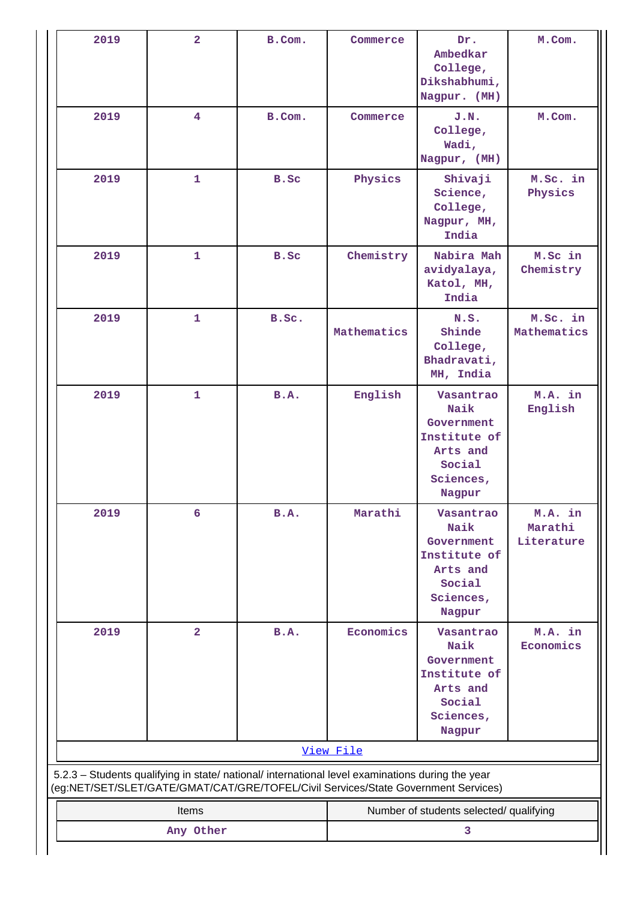| 2019<br>$\overline{\mathbf{4}}$<br>J.N.<br>B.Com.<br>Commerce<br>College,<br>Wadi,<br>Nagpur, (MH)                                          | M.Com.                                                                             |  |  |  |  |  |
|---------------------------------------------------------------------------------------------------------------------------------------------|------------------------------------------------------------------------------------|--|--|--|--|--|
| 2019<br>Physics<br>1<br>B.Sc<br>Shivaji<br>Science,<br>College,<br>Nagpur, MH,<br>India                                                     | M.Sc. in<br>Physics                                                                |  |  |  |  |  |
| 2019<br>$\mathbf{1}$<br>Chemistry<br>Nabira Mah<br>B.Sc<br>avidyalaya,<br>Katol, MH,<br>India                                               | M.Sc in<br>Chemistry                                                               |  |  |  |  |  |
| 2019<br>$\mathbf{1}$<br>B.Sc.<br>N.S.<br>Mathematics<br>Shinde<br>College,<br>Bhadravati,<br>MH, India                                      | M.Sc. in<br>Mathematics                                                            |  |  |  |  |  |
| $\mathbf{1}$<br>B.A.<br>English<br>2019<br>Vasantrao<br>Naik<br>Government<br>Institute of<br>Arts and<br>Social<br>Sciences,<br>Nagpur     | M.A. in<br>English                                                                 |  |  |  |  |  |
| 2019<br>B.A.<br>Marathi<br>Vasantrao<br>6<br>Naik<br>Government<br>Institute of<br>Arts and<br>Social<br>Sciences,<br>Nagpur                | M.A. in<br>Marathi<br>Literature                                                   |  |  |  |  |  |
| $\overline{2}$<br>Economics<br>2019<br>B.A.<br>Vasantrao<br>Naik<br>Government<br>Institute of<br>Arts and<br>Social<br>Sciences,<br>Nagpur | M.A. in<br>Economics                                                               |  |  |  |  |  |
| View File                                                                                                                                   |                                                                                    |  |  |  |  |  |
| 5.2.3 - Students qualifying in state/ national/ international level examinations during the year                                            | (eg:NET/SET/SLET/GATE/GMAT/CAT/GRE/TOFEL/Civil Services/State Government Services) |  |  |  |  |  |
| Items                                                                                                                                       | Number of students selected/ qualifying                                            |  |  |  |  |  |
| 3<br>Any Other                                                                                                                              |                                                                                    |  |  |  |  |  |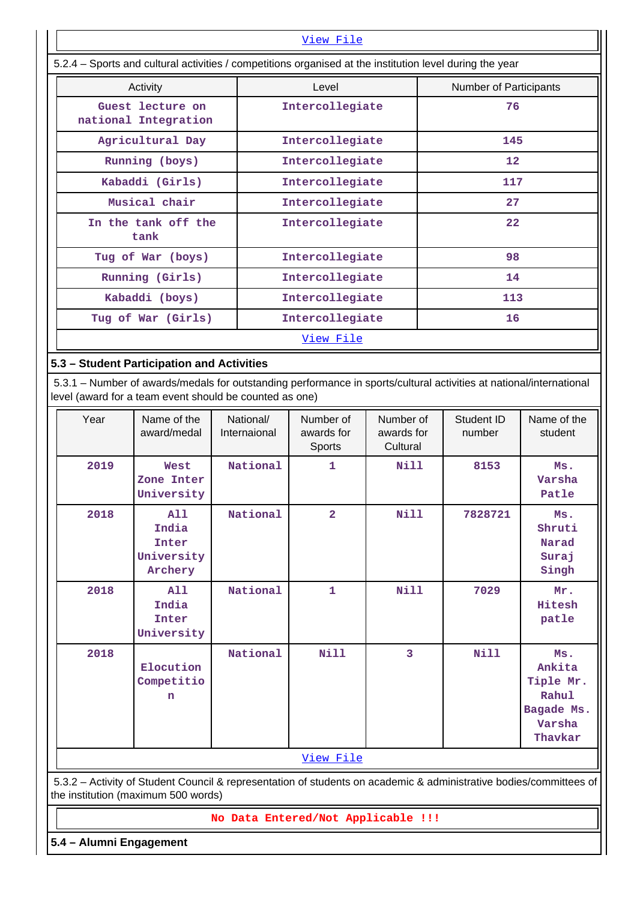|                                          | View File                                                                                                |                        |  |  |  |
|------------------------------------------|----------------------------------------------------------------------------------------------------------|------------------------|--|--|--|
|                                          | 5.2.4 – Sports and cultural activities / competitions organised at the institution level during the year |                        |  |  |  |
| Activity                                 | Level                                                                                                    | Number of Participants |  |  |  |
| Guest lecture on<br>national Integration | Intercollegiate                                                                                          | 76                     |  |  |  |
| Agricultural Day                         | Intercollegiate                                                                                          | 145                    |  |  |  |
| Running (boys)                           | Intercollegiate                                                                                          | $12 \overline{ }$      |  |  |  |
| Kabaddi (Girls)                          | Intercollegiate                                                                                          | 117                    |  |  |  |
| Musical chair                            | Intercollegiate                                                                                          | 27                     |  |  |  |
| In the tank off the<br>tank              | Intercollegiate                                                                                          | 22                     |  |  |  |
| Tug of War (boys)                        | Intercollegiate                                                                                          | 98                     |  |  |  |
| Running (Girls)                          | Intercollegiate                                                                                          | 14                     |  |  |  |
| Kabaddi (boys)                           | Intercollegiate                                                                                          | 113                    |  |  |  |
| Tug of War (Girls)                       | Intercollegiate                                                                                          | 16                     |  |  |  |
|                                          | View File                                                                                                |                        |  |  |  |

# **5.3 – Student Participation and Activities**

 5.3.1 – Number of awards/medals for outstanding performance in sports/cultural activities at national/international level (award for a team event should be counted as one)

| Year | Name of the<br>award/medal                     | National/<br>Internaional | Number of<br>awards for<br>Sports | Number of<br>awards for<br>Cultural | Student ID<br>number | Name of the<br>student                                                 |
|------|------------------------------------------------|---------------------------|-----------------------------------|-------------------------------------|----------------------|------------------------------------------------------------------------|
| 2019 | West<br>Zone Inter<br>University               | National                  | 1                                 | <b>Nill</b>                         | 8153                 | Ms.<br>Varsha<br>Patle                                                 |
| 2018 | A11<br>India<br>Inter<br>University<br>Archery | National                  | $\overline{a}$                    | <b>Nill</b>                         | 7828721              | Ms.<br>Shruti<br>Narad<br>Suraj<br>Singh                               |
| 2018 | A11<br>India<br>Inter<br>University            | National                  | $\mathbf{1}$                      | <b>Nill</b>                         | 7029                 | Mr.<br>Hitesh<br>patle                                                 |
| 2018 | Elocution<br>Competitio<br>n                   | National                  | <b>Nill</b>                       | 3                                   | Nill                 | Ms.<br>Ankita<br>Tiple Mr.<br>Rahul<br>Bagade Ms.<br>Varsha<br>Thavkar |
|      |                                                |                           | View File                         |                                     |                      |                                                                        |

 5.3.2 – Activity of Student Council & representation of students on academic & administrative bodies/committees of the institution (maximum 500 words)

**No Data Entered/Not Applicable !!!**

**5.4 – Alumni Engagement**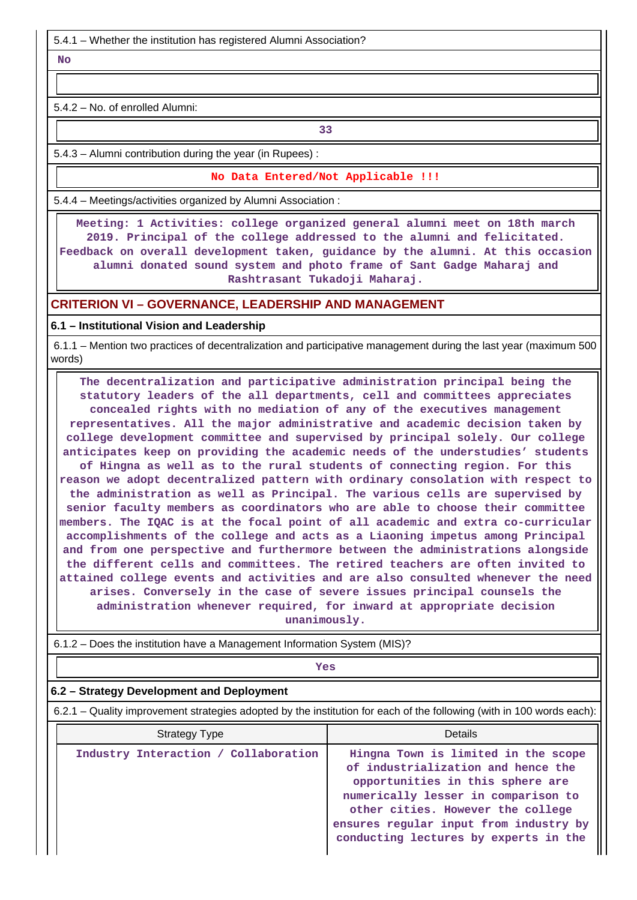5.4.1 – Whether the institution has registered Alumni Association?

 **No**

5.4.2 – No. of enrolled Alumni:

**33** 

5.4.3 – Alumni contribution during the year (in Rupees) :

**No Data Entered/Not Applicable !!!**

5.4.4 – Meetings/activities organized by Alumni Association :

 **Meeting: 1 Activities: college organized general alumni meet on 18th march 2019. Principal of the college addressed to the alumni and felicitated. Feedback on overall development taken, guidance by the alumni. At this occasion alumni donated sound system and photo frame of Sant Gadge Maharaj and Rashtrasant Tukadoji Maharaj.**

### **CRITERION VI – GOVERNANCE, LEADERSHIP AND MANAGEMENT**

**6.1 – Institutional Vision and Leadership**

 6.1.1 – Mention two practices of decentralization and participative management during the last year (maximum 500 words)

 **The decentralization and participative administration principal being the statutory leaders of the all departments, cell and committees appreciates concealed rights with no mediation of any of the executives management representatives. All the major administrative and academic decision taken by college development committee and supervised by principal solely. Our college anticipates keep on providing the academic needs of the understudies' students of Hingna as well as to the rural students of connecting region. For this reason we adopt decentralized pattern with ordinary consolation with respect to the administration as well as Principal. The various cells are supervised by senior faculty members as coordinators who are able to choose their committee members. The IQAC is at the focal point of all academic and extra co-curricular accomplishments of the college and acts as a Liaoning impetus among Principal and from one perspective and furthermore between the administrations alongside the different cells and committees. The retired teachers are often invited to attained college events and activities and are also consulted whenever the need arises. Conversely in the case of severe issues principal counsels the administration whenever required, for inward at appropriate decision**

**unanimously.**

| $6.1.2$ – Does the institution have a Management Information System (MIS)?                                            |                                                                                                                                                                                           |  |  |  |
|-----------------------------------------------------------------------------------------------------------------------|-------------------------------------------------------------------------------------------------------------------------------------------------------------------------------------------|--|--|--|
| Yes                                                                                                                   |                                                                                                                                                                                           |  |  |  |
| 6.2 – Strategy Development and Deployment                                                                             |                                                                                                                                                                                           |  |  |  |
| 6.2.1 – Quality improvement strategies adopted by the institution for each of the following (with in 100 words each): |                                                                                                                                                                                           |  |  |  |
| <b>Strategy Type</b>                                                                                                  | Details                                                                                                                                                                                   |  |  |  |
| Industry Interaction / Collaboration                                                                                  | Hingna Town is limited in the scope<br>of industrialization and hence the<br>opportunities in this sphere are<br>numerically lesser in comparison to<br>other cities. However the college |  |  |  |

**ensures regular input from industry by conducting lectures by experts in the**

6.1.2 – Does the institution have a Management Information System (MIS)?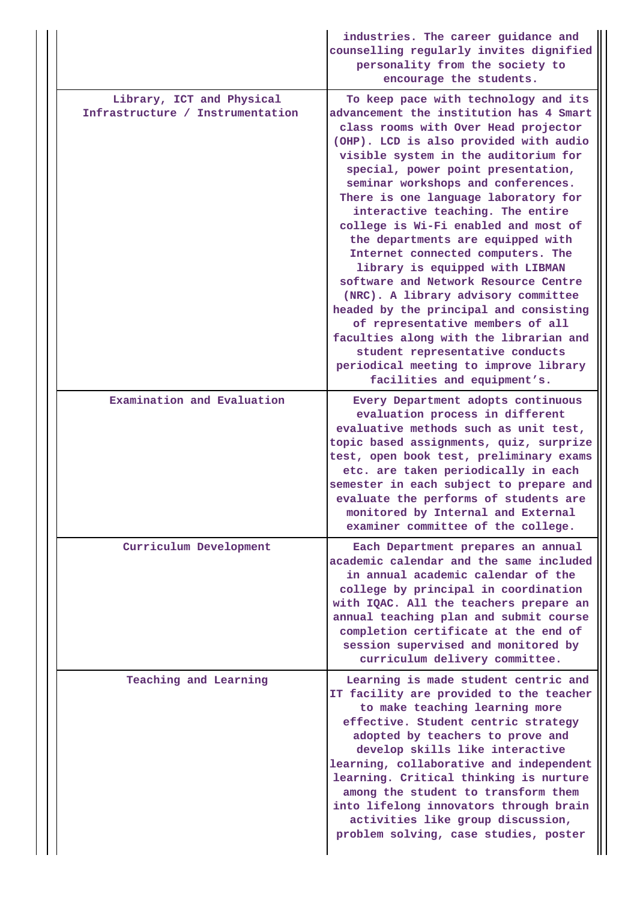|  |                                                               | industries. The career guidance and<br>counselling regularly invites dignified<br>personality from the society to<br>encourage the students.                                                                                                                                                                                                                                                                                                                                                                                                                                                                                                                                                                                                                                                                                             |
|--|---------------------------------------------------------------|------------------------------------------------------------------------------------------------------------------------------------------------------------------------------------------------------------------------------------------------------------------------------------------------------------------------------------------------------------------------------------------------------------------------------------------------------------------------------------------------------------------------------------------------------------------------------------------------------------------------------------------------------------------------------------------------------------------------------------------------------------------------------------------------------------------------------------------|
|  | Library, ICT and Physical<br>Infrastructure / Instrumentation | To keep pace with technology and its<br>advancement the institution has 4 Smart<br>class rooms with Over Head projector<br>(OHP). LCD is also provided with audio<br>visible system in the auditorium for<br>special, power point presentation,<br>seminar workshops and conferences.<br>There is one language laboratory for<br>interactive teaching. The entire<br>college is Wi-Fi enabled and most of<br>the departments are equipped with<br>Internet connected computers. The<br>library is equipped with LIBMAN<br>software and Network Resource Centre<br>(NRC). A library advisory committee<br>headed by the principal and consisting<br>of representative members of all<br>faculties along with the librarian and<br>student representative conducts<br>periodical meeting to improve library<br>facilities and equipment's. |
|  | Examination and Evaluation                                    | Every Department adopts continuous<br>evaluation process in different<br>evaluative methods such as unit test,<br>topic based assignments, quiz, surprize<br>test, open book test, preliminary exams<br>etc. are taken periodically in each<br>semester in each subject to prepare and<br>evaluate the performs of students are<br>monitored by Internal and External<br>examiner committee of the college.                                                                                                                                                                                                                                                                                                                                                                                                                              |
|  | Curriculum Development                                        | Each Department prepares an annual<br>academic calendar and the same included<br>in annual academic calendar of the<br>college by principal in coordination<br>with IQAC. All the teachers prepare an<br>annual teaching plan and submit course<br>completion certificate at the end of<br>session supervised and monitored by<br>curriculum delivery committee.                                                                                                                                                                                                                                                                                                                                                                                                                                                                         |
|  | Teaching and Learning                                         | Learning is made student centric and<br>IT facility are provided to the teacher<br>to make teaching learning more<br>effective. Student centric strategy<br>adopted by teachers to prove and<br>develop skills like interactive<br>learning, collaborative and independent<br>learning. Critical thinking is nurture<br>among the student to transform them<br>into lifelong innovators through brain<br>activities like group discussion,<br>problem solving, case studies, poster                                                                                                                                                                                                                                                                                                                                                      |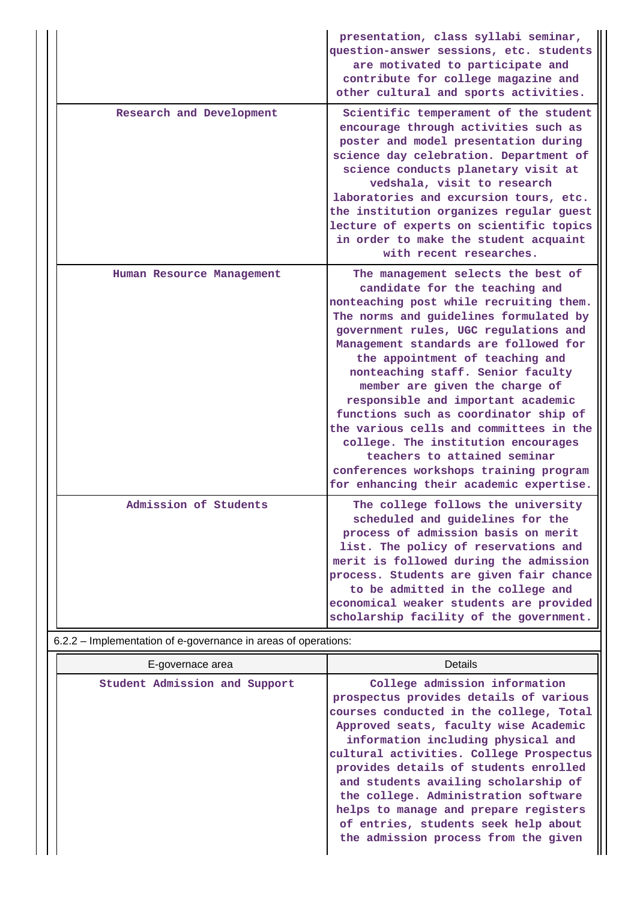|                           | presentation, class syllabi seminar,<br>question-answer sessions, etc. students<br>are motivated to participate and<br>contribute for college magazine and<br>other cultural and sports activities.                                                                                                                                                                                                                                                                                                                                                                                                                                         |
|---------------------------|---------------------------------------------------------------------------------------------------------------------------------------------------------------------------------------------------------------------------------------------------------------------------------------------------------------------------------------------------------------------------------------------------------------------------------------------------------------------------------------------------------------------------------------------------------------------------------------------------------------------------------------------|
| Research and Development  | Scientific temperament of the student<br>encourage through activities such as<br>poster and model presentation during<br>science day celebration. Department of<br>science conducts planetary visit at<br>vedshala, visit to research<br>laboratories and excursion tours, etc.<br>the institution organizes regular guest<br>lecture of experts on scientific topics<br>in order to make the student acquaint<br>with recent researches.                                                                                                                                                                                                   |
| Human Resource Management | The management selects the best of<br>candidate for the teaching and<br>nonteaching post while recruiting them.<br>The norms and guidelines formulated by<br>government rules, UGC regulations and<br>Management standards are followed for<br>the appointment of teaching and<br>nonteaching staff. Senior faculty<br>member are given the charge of<br>responsible and important academic<br>functions such as coordinator ship of<br>the various cells and committees in the<br>college. The institution encourages<br>teachers to attained seminar<br>conferences workshops training program<br>for enhancing their academic expertise. |
| Admission of Students     | The college follows the university<br>scheduled and guidelines for the<br>process of admission basis on merit<br>list. The policy of reservations and<br>merit is followed during the admission<br>process. Students are given fair chance<br>to be admitted in the college and<br>economical weaker students are provided<br>scholarship facility of the government.                                                                                                                                                                                                                                                                       |

# 6.2.2 – Implementation of e-governance in areas of operations:

| E-governace area              | <b>Details</b>                                                                                                                                                                                                                                                                                                                                                                                                                                                                                 |
|-------------------------------|------------------------------------------------------------------------------------------------------------------------------------------------------------------------------------------------------------------------------------------------------------------------------------------------------------------------------------------------------------------------------------------------------------------------------------------------------------------------------------------------|
| Student Admission and Support | College admission information<br>prospectus provides details of various<br>courses conducted in the college, Total<br>Approved seats, faculty wise Academic<br>information including physical and<br>cultural activities. College Prospectus<br>provides details of students enrolled<br>and students availing scholarship of<br>the college. Administration software<br>helps to manage and prepare registers<br>of entries, students seek help about<br>the admission process from the given |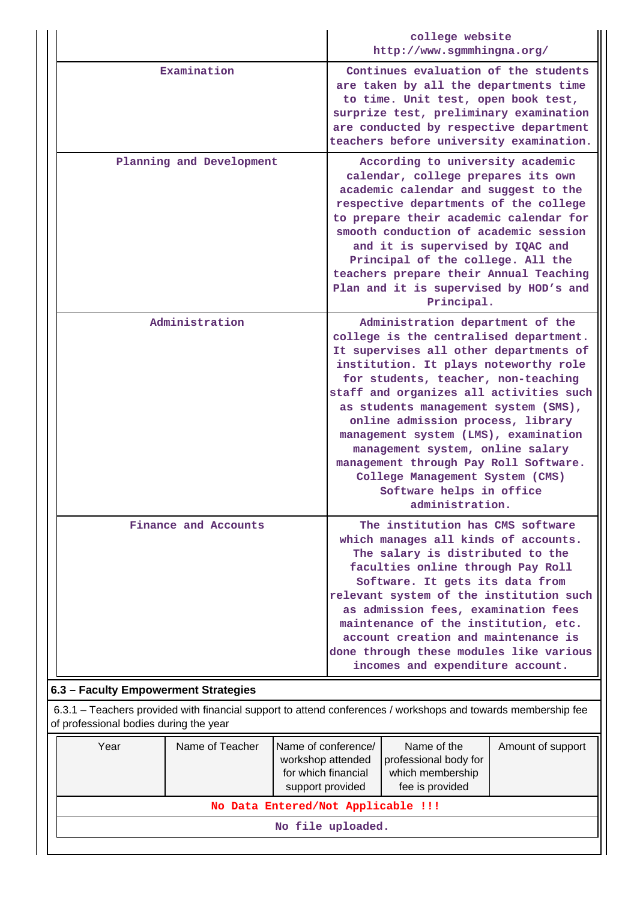|                                      | college website<br>http://www.sgmmhingna.org/                                                                                                                                                                                                                                                                                                                                                                                                                                                                                       |  |  |  |  |  |
|--------------------------------------|-------------------------------------------------------------------------------------------------------------------------------------------------------------------------------------------------------------------------------------------------------------------------------------------------------------------------------------------------------------------------------------------------------------------------------------------------------------------------------------------------------------------------------------|--|--|--|--|--|
| Examination                          | Continues evaluation of the students<br>are taken by all the departments time<br>to time. Unit test, open book test,<br>surprize test, preliminary examination<br>are conducted by respective department<br>teachers before university examination.                                                                                                                                                                                                                                                                                 |  |  |  |  |  |
| Planning and Development             | According to university academic<br>calendar, college prepares its own<br>academic calendar and suggest to the<br>respective departments of the college<br>to prepare their academic calendar for<br>smooth conduction of academic session<br>and it is supervised by IQAC and<br>Principal of the college. All the<br>teachers prepare their Annual Teaching<br>Plan and it is supervised by HOD's and<br>Principal.                                                                                                               |  |  |  |  |  |
| Administration                       | Administration department of the<br>college is the centralised department.<br>It supervises all other departments of<br>institution. It plays noteworthy role<br>for students, teacher, non-teaching<br>staff and organizes all activities such<br>as students management system (SMS),<br>online admission process, library<br>management system (LMS), examination<br>management system, online salary<br>management through Pay Roll Software.<br>College Management System (CMS)<br>Software helps in office<br>administration. |  |  |  |  |  |
| Finance and Accounts                 | The institution has CMS software<br>which manages all kinds of accounts.<br>The salary is distributed to the<br>faculties online through Pay Roll<br>Software. It gets its data from<br>relevant system of the institution such<br>as admission fees, examination fees<br>maintenance of the institution, etc.<br>account creation and maintenance is<br>done through these modules like various<br>incomes and expenditure account.                                                                                                |  |  |  |  |  |
| 6.3 - Faculty Empowerment Strategies |                                                                                                                                                                                                                                                                                                                                                                                                                                                                                                                                     |  |  |  |  |  |

 6.3.1 – Teachers provided with financial support to attend conferences / workshops and towards membership fee of professional bodies during the year

| Year              | Name of Teacher | Name of conference/<br>workshop attended<br>for which financial<br>support provided | Name of the<br>professional body for<br>which membership<br>fee is provided | Amount of support |  |
|-------------------|-----------------|-------------------------------------------------------------------------------------|-----------------------------------------------------------------------------|-------------------|--|
|                   |                 | No Data Entered/Not Applicable !!!                                                  |                                                                             |                   |  |
| No file uploaded. |                 |                                                                                     |                                                                             |                   |  |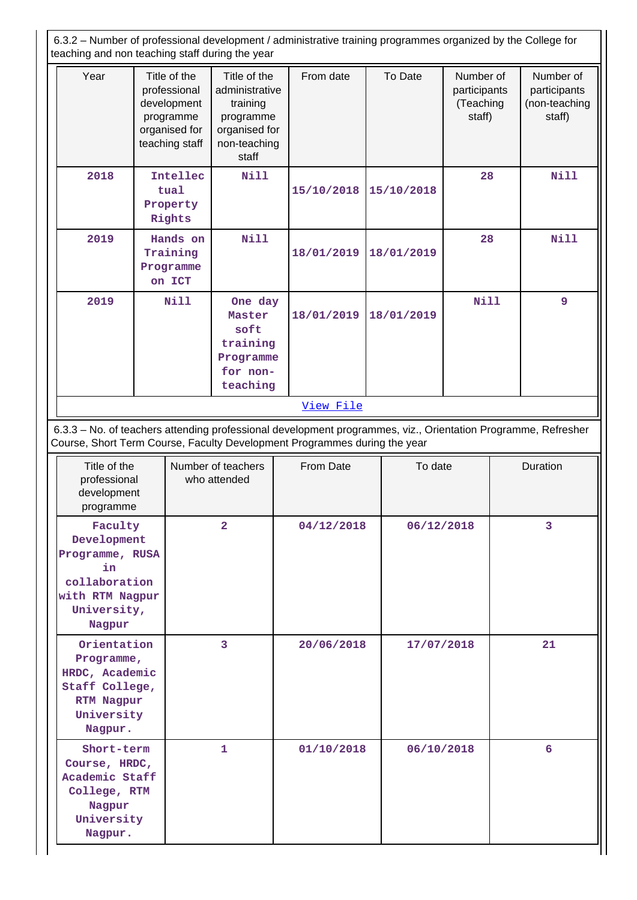6.3.2 – Number of professional development / administrative training programmes organized by the College for teaching and non teaching staff during the year

| Year                                                                                                         | Title of the<br>professional<br>development<br>programme<br>organised for<br>teaching staff | Title of the<br>administrative<br>training<br>programme<br>organised for<br>non-teaching<br>staff | From date                                                                 | To Date    | Number of<br>participants<br>(Teaching<br>staff) | Number of<br>participants<br>(non-teaching<br>staff)                                                          |
|--------------------------------------------------------------------------------------------------------------|---------------------------------------------------------------------------------------------|---------------------------------------------------------------------------------------------------|---------------------------------------------------------------------------|------------|--------------------------------------------------|---------------------------------------------------------------------------------------------------------------|
| 2018                                                                                                         | Intellec<br>tual<br>Property<br>Rights                                                      | <b>Nill</b>                                                                                       | 15/10/2018                                                                | 15/10/2018 | 28                                               | <b>Nill</b>                                                                                                   |
| 2019                                                                                                         | Hands on<br>Training<br>Programme<br>on ICT                                                 | Nill                                                                                              | 18/01/2019                                                                | 18/01/2019 | 28                                               | Nill                                                                                                          |
| 2019                                                                                                         | <b>Nill</b>                                                                                 | One day<br>Master<br>soft<br>training<br>Programme<br>for non-<br>teaching                        | 18/01/2019                                                                | 18/01/2019 | Nill                                             | 9                                                                                                             |
|                                                                                                              |                                                                                             |                                                                                                   | View File                                                                 |            |                                                  |                                                                                                               |
|                                                                                                              |                                                                                             |                                                                                                   | Course, Short Term Course, Faculty Development Programmes during the year |            |                                                  | 6.3.3 - No. of teachers attending professional development programmes, viz., Orientation Programme, Refresher |
| Title of the<br>professional<br>development<br>programme                                                     |                                                                                             | Number of teachers<br>who attended                                                                | From Date                                                                 | To date    |                                                  | Duration                                                                                                      |
| Faculty<br>Development<br>Programme, RUSA<br>in<br>collaboration<br>with RTM Nagpur<br>University,<br>Nagpur |                                                                                             | $\overline{\mathbf{2}}$                                                                           | 04/12/2018                                                                | 06/12/2018 |                                                  | 3                                                                                                             |
| Orientation<br>Programme,<br>HRDC, Academic<br>Staff College,<br><b>RTM Nagpur</b><br>University<br>Nagpur.  |                                                                                             | 3                                                                                                 | 20/06/2018                                                                | 17/07/2018 |                                                  | 21                                                                                                            |
| Short-term<br>Course, HRDC,<br>Academic Staff<br>College, RTM                                                |                                                                                             | 1                                                                                                 | 01/10/2018                                                                | 06/10/2018 |                                                  | 6                                                                                                             |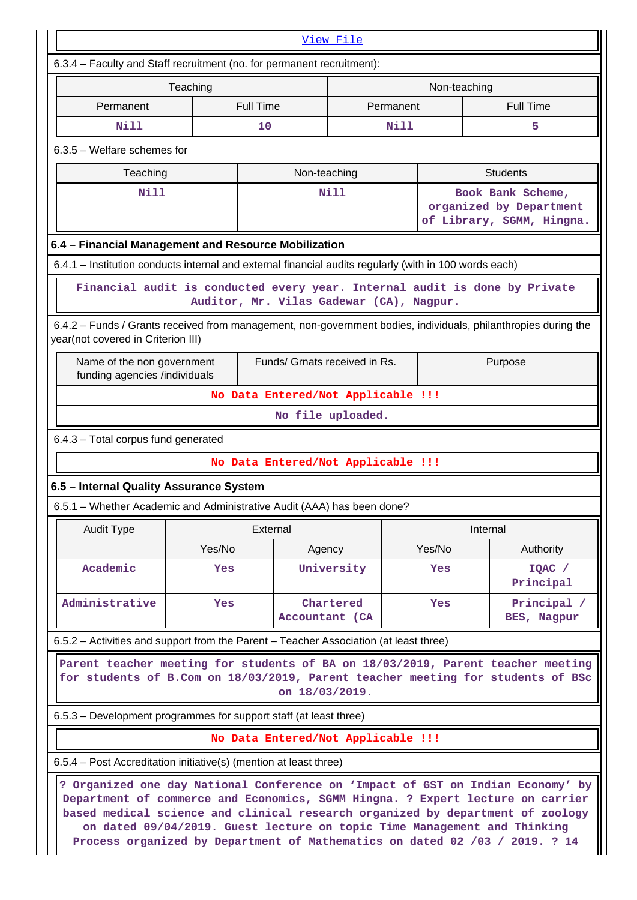| View File                                                                                                                                                                            |          |                                          |                             |           |              |                                                                                                                                                                                                                                                                                                                                                                                                                |
|--------------------------------------------------------------------------------------------------------------------------------------------------------------------------------------|----------|------------------------------------------|-----------------------------|-----------|--------------|----------------------------------------------------------------------------------------------------------------------------------------------------------------------------------------------------------------------------------------------------------------------------------------------------------------------------------------------------------------------------------------------------------------|
| 6.3.4 - Faculty and Staff recruitment (no. for permanent recruitment):                                                                                                               |          |                                          |                             |           |              |                                                                                                                                                                                                                                                                                                                                                                                                                |
|                                                                                                                                                                                      | Teaching |                                          |                             |           | Non-teaching |                                                                                                                                                                                                                                                                                                                                                                                                                |
| Permanent                                                                                                                                                                            |          | <b>Full Time</b>                         |                             | Permanent |              | <b>Full Time</b>                                                                                                                                                                                                                                                                                                                                                                                               |
| Nill                                                                                                                                                                                 |          | 10                                       |                             | Nill      |              | 5                                                                                                                                                                                                                                                                                                                                                                                                              |
| $6.3.5$ – Welfare schemes for                                                                                                                                                        |          |                                          |                             |           |              |                                                                                                                                                                                                                                                                                                                                                                                                                |
| Teaching                                                                                                                                                                             |          | Non-teaching                             |                             |           |              | <b>Students</b>                                                                                                                                                                                                                                                                                                                                                                                                |
| <b>Nill</b>                                                                                                                                                                          |          |                                          | <b>Nill</b>                 |           |              | Book Bank Scheme,<br>organized by Department<br>of Library, SGMM, Hingna.                                                                                                                                                                                                                                                                                                                                      |
| 6.4 - Financial Management and Resource Mobilization                                                                                                                                 |          |                                          |                             |           |              |                                                                                                                                                                                                                                                                                                                                                                                                                |
| 6.4.1 – Institution conducts internal and external financial audits regularly (with in 100 words each)                                                                               |          |                                          |                             |           |              |                                                                                                                                                                                                                                                                                                                                                                                                                |
|                                                                                                                                                                                      |          | Auditor, Mr. Vilas Gadewar (CA), Nagpur. |                             |           |              | Financial audit is conducted every year. Internal audit is done by Private                                                                                                                                                                                                                                                                                                                                     |
| year(not covered in Criterion III)                                                                                                                                                   |          |                                          |                             |           |              | 6.4.2 – Funds / Grants received from management, non-government bodies, individuals, philanthropies during the                                                                                                                                                                                                                                                                                                 |
| Name of the non government<br>funding agencies /individuals                                                                                                                          |          | Funds/ Grnats received in Rs.            |                             |           |              | Purpose                                                                                                                                                                                                                                                                                                                                                                                                        |
|                                                                                                                                                                                      |          | No Data Entered/Not Applicable !!!       |                             |           |              |                                                                                                                                                                                                                                                                                                                                                                                                                |
|                                                                                                                                                                                      |          |                                          | No file uploaded.           |           |              |                                                                                                                                                                                                                                                                                                                                                                                                                |
| 6.4.3 - Total corpus fund generated                                                                                                                                                  |          |                                          |                             |           |              |                                                                                                                                                                                                                                                                                                                                                                                                                |
|                                                                                                                                                                                      |          | No Data Entered/Not Applicable !!!       |                             |           |              |                                                                                                                                                                                                                                                                                                                                                                                                                |
| 6.5 - Internal Quality Assurance System                                                                                                                                              |          |                                          |                             |           |              |                                                                                                                                                                                                                                                                                                                                                                                                                |
| 6.5.1 - Whether Academic and Administrative Audit (AAA) has been done?                                                                                                               |          |                                          |                             |           |              |                                                                                                                                                                                                                                                                                                                                                                                                                |
| Audit Type                                                                                                                                                                           |          | External                                 |                             |           |              | Internal                                                                                                                                                                                                                                                                                                                                                                                                       |
|                                                                                                                                                                                      | Yes/No   |                                          | Agency                      |           | Yes/No       | Authority                                                                                                                                                                                                                                                                                                                                                                                                      |
| Academic                                                                                                                                                                             | Yes      |                                          | University                  |           | Yes          | $IQAC$ /<br>Principal                                                                                                                                                                                                                                                                                                                                                                                          |
| Administrative                                                                                                                                                                       | Yes      |                                          | Chartered<br>Accountant (CA |           | Yes          | Principal<br>BES, Nagpur                                                                                                                                                                                                                                                                                                                                                                                       |
| 6.5.2 – Activities and support from the Parent – Teacher Association (at least three)                                                                                                |          |                                          |                             |           |              |                                                                                                                                                                                                                                                                                                                                                                                                                |
| Parent teacher meeting for students of BA on 18/03/2019, Parent teacher meeting<br>for students of B.Com on 18/03/2019, Parent teacher meeting for students of BSc<br>on 18/03/2019. |          |                                          |                             |           |              |                                                                                                                                                                                                                                                                                                                                                                                                                |
| 6.5.3 – Development programmes for support staff (at least three)                                                                                                                    |          |                                          |                             |           |              |                                                                                                                                                                                                                                                                                                                                                                                                                |
|                                                                                                                                                                                      |          | No Data Entered/Not Applicable !!!       |                             |           |              |                                                                                                                                                                                                                                                                                                                                                                                                                |
| 6.5.4 – Post Accreditation initiative(s) (mention at least three)                                                                                                                    |          |                                          |                             |           |              |                                                                                                                                                                                                                                                                                                                                                                                                                |
|                                                                                                                                                                                      |          |                                          |                             |           |              | ? Organized one day National Conference on 'Impact of GST on Indian Economy' by<br>Department of commerce and Economics, SGMM Hingna. ? Expert lecture on carrier<br>based medical science and clinical research organized by department of zoology<br>on dated 09/04/2019. Guest lecture on topic Time Management and Thinking<br>Process organized by Department of Mathematics on dated 02 /03 / 2019. ? 14 |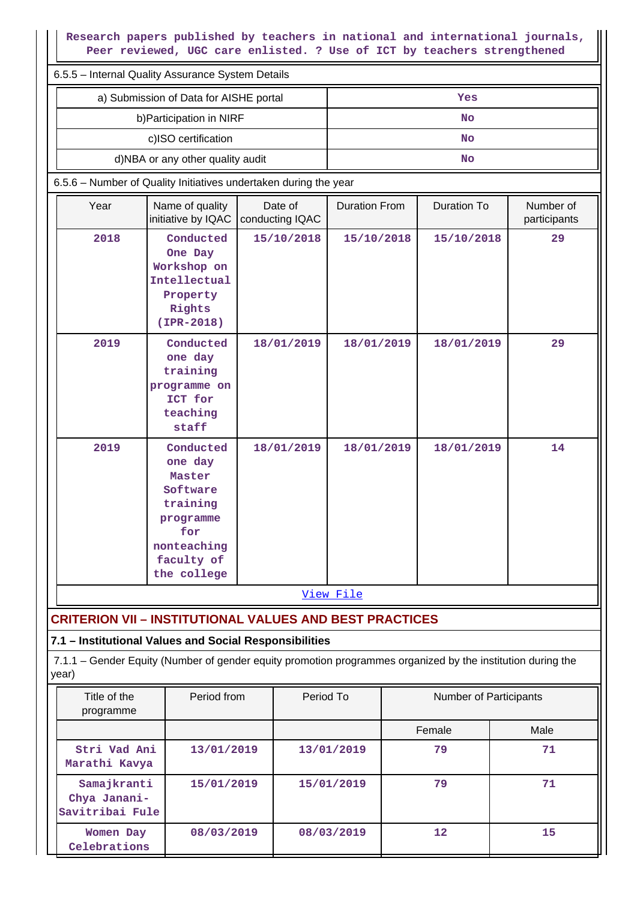| Research papers published by teachers in national and international journals,<br>Peer reviewed, UGC care enlisted. ? Use of ICT by teachers strengthened |                                                                                                                        |                            |                      |                    |                           |  |  |  |
|----------------------------------------------------------------------------------------------------------------------------------------------------------|------------------------------------------------------------------------------------------------------------------------|----------------------------|----------------------|--------------------|---------------------------|--|--|--|
| 6.5.5 - Internal Quality Assurance System Details                                                                                                        |                                                                                                                        |                            |                      |                    |                           |  |  |  |
|                                                                                                                                                          | a) Submission of Data for AISHE portal                                                                                 |                            |                      | Yes                |                           |  |  |  |
|                                                                                                                                                          | b) Participation in NIRF                                                                                               |                            |                      | No                 |                           |  |  |  |
|                                                                                                                                                          | c)ISO certification                                                                                                    |                            |                      | No                 |                           |  |  |  |
|                                                                                                                                                          | d)NBA or any other quality audit                                                                                       |                            |                      | <b>No</b>          |                           |  |  |  |
|                                                                                                                                                          | 6.5.6 - Number of Quality Initiatives undertaken during the year                                                       |                            |                      |                    |                           |  |  |  |
| Year                                                                                                                                                     | Name of quality<br>initiative by IQAC                                                                                  | Date of<br>conducting IQAC | <b>Duration From</b> | <b>Duration To</b> | Number of<br>participants |  |  |  |
| 2018                                                                                                                                                     | Conducted<br>One Day<br>Workshop on<br>Intellectual<br>Property<br>Rights<br>$(IPR-2018)$                              | 15/10/2018                 | 15/10/2018           | 15/10/2018         | 29                        |  |  |  |
| 2019                                                                                                                                                     | Conducted<br>one day<br>training<br>programme on<br>ICT for<br>teaching<br>staff                                       | 18/01/2019                 | 18/01/2019           | 18/01/2019         | 29                        |  |  |  |
| 2019                                                                                                                                                     | Conducted<br>one day<br>Master<br>Software<br>training<br>programme<br>for<br>nonteaching<br>faculty of<br>the college | 18/01/2019                 | 18/01/2019           | 18/01/2019         | 14                        |  |  |  |
|                                                                                                                                                          |                                                                                                                        |                            | View File            |                    |                           |  |  |  |
|                                                                                                                                                          | <b>CRITERION VII - INSTITUTIONAL VALUES AND BEST PRACTICES</b>                                                         |                            |                      |                    |                           |  |  |  |

# **7.1 – Institutional Values and Social Responsibilities**

 7.1.1 – Gender Equity (Number of gender equity promotion programmes organized by the institution during the year)

| Title of the<br>programme                      | Period from | Period To  | Number of Participants |      |
|------------------------------------------------|-------------|------------|------------------------|------|
|                                                |             |            | Female                 | Male |
| Stri Vad Ani<br>Marathi Kavya                  | 13/01/2019  | 13/01/2019 | 79                     | 71   |
| Samajkranti<br>Chya Janani-<br>Savitribai Fule | 15/01/2019  | 15/01/2019 | 79                     | 71   |
| Women Day<br>Celebrations                      | 08/03/2019  | 08/03/2019 | $12 \overline{ }$      | 15   |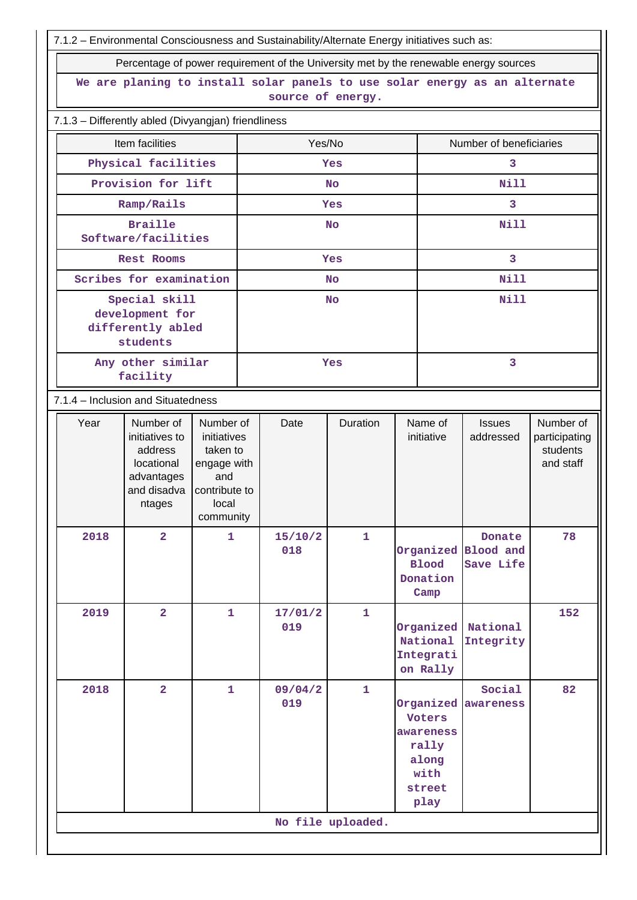7.1.2 – Environmental Consciousness and Sustainability/Alternate Energy initiatives such as:

Percentage of power requirement of the University met by the reserves of power requirement of the University met by the renewable energy sources of power requirement of the University met by the renewable of the University

| source of energy.<br>Item facilities<br>Yes/No<br>Number of beneficiaries<br>Physical facilities<br>3<br>Yes<br>Provision for lift<br><b>Nill</b><br>No<br>3<br>Ramp/Rails<br>Yes<br><b>Nill</b><br><b>Braille</b><br><b>No</b><br>Software/facilities<br>$\overline{\mathbf{3}}$<br><b>Rest Rooms</b><br>Yes<br>Scribes for examination<br>Nill<br><b>No</b><br>Special skill<br><b>Nill</b><br><b>No</b><br>development for<br>differently abled<br>students<br>3<br>Any other similar<br>Yes<br>facility<br>7.1.4 - Inclusion and Situatedness<br>Year<br>Number of<br>Duration<br>Name of<br>Number of<br>Number of<br>Date<br><b>Issues</b><br>initiatives to<br>initiatives<br>initiative<br>addressed<br>participating<br>students<br>address<br>taken to<br>locational<br>and staff<br>engage with<br>advantages<br>and<br>and disadva<br>contribute to<br>local<br>ntages<br>community<br>2018<br>$\overline{\mathbf{2}}$<br>15/10/2<br>1<br>78<br>1<br>Donate<br>018<br>Organized Blood and<br><b>Blood</b><br>Save Life<br>Donation<br>Camp<br>$\mathbf{1}$<br>2019<br>$\overline{2}$<br>17/01/2<br>152<br>$\mathbf{1}$<br>019<br>Organized<br>National<br>National<br>Integrity<br>Integrati<br>on Rally<br>$\mathbf{1}$<br>$\overline{2}$<br>09/04/2<br>82<br>2018<br>$\mathbf{1}$<br>Social<br>019<br>Organized awareness<br>Voters<br>awareness<br>rally<br>along<br>with<br>street<br>play<br>No file uploaded. |                                                                            | Percentage of power requirement of the University met by the renewable energy sources |  |  |  |  |  |  |  |  |
|---------------------------------------------------------------------------------------------------------------------------------------------------------------------------------------------------------------------------------------------------------------------------------------------------------------------------------------------------------------------------------------------------------------------------------------------------------------------------------------------------------------------------------------------------------------------------------------------------------------------------------------------------------------------------------------------------------------------------------------------------------------------------------------------------------------------------------------------------------------------------------------------------------------------------------------------------------------------------------------------------------------------------------------------------------------------------------------------------------------------------------------------------------------------------------------------------------------------------------------------------------------------------------------------------------------------------------------------------------------------------------------------------------------------------------|----------------------------------------------------------------------------|---------------------------------------------------------------------------------------|--|--|--|--|--|--|--|--|
|                                                                                                                                                                                                                                                                                                                                                                                                                                                                                                                                                                                                                                                                                                                                                                                                                                                                                                                                                                                                                                                                                                                                                                                                                                                                                                                                                                                                                                 | We are planing to install solar panels to use solar energy as an alternate |                                                                                       |  |  |  |  |  |  |  |  |
|                                                                                                                                                                                                                                                                                                                                                                                                                                                                                                                                                                                                                                                                                                                                                                                                                                                                                                                                                                                                                                                                                                                                                                                                                                                                                                                                                                                                                                 |                                                                            | 7.1.3 - Differently abled (Divyangjan) friendliness                                   |  |  |  |  |  |  |  |  |
|                                                                                                                                                                                                                                                                                                                                                                                                                                                                                                                                                                                                                                                                                                                                                                                                                                                                                                                                                                                                                                                                                                                                                                                                                                                                                                                                                                                                                                 |                                                                            |                                                                                       |  |  |  |  |  |  |  |  |
|                                                                                                                                                                                                                                                                                                                                                                                                                                                                                                                                                                                                                                                                                                                                                                                                                                                                                                                                                                                                                                                                                                                                                                                                                                                                                                                                                                                                                                 |                                                                            |                                                                                       |  |  |  |  |  |  |  |  |
|                                                                                                                                                                                                                                                                                                                                                                                                                                                                                                                                                                                                                                                                                                                                                                                                                                                                                                                                                                                                                                                                                                                                                                                                                                                                                                                                                                                                                                 |                                                                            |                                                                                       |  |  |  |  |  |  |  |  |
|                                                                                                                                                                                                                                                                                                                                                                                                                                                                                                                                                                                                                                                                                                                                                                                                                                                                                                                                                                                                                                                                                                                                                                                                                                                                                                                                                                                                                                 |                                                                            |                                                                                       |  |  |  |  |  |  |  |  |
|                                                                                                                                                                                                                                                                                                                                                                                                                                                                                                                                                                                                                                                                                                                                                                                                                                                                                                                                                                                                                                                                                                                                                                                                                                                                                                                                                                                                                                 |                                                                            |                                                                                       |  |  |  |  |  |  |  |  |
|                                                                                                                                                                                                                                                                                                                                                                                                                                                                                                                                                                                                                                                                                                                                                                                                                                                                                                                                                                                                                                                                                                                                                                                                                                                                                                                                                                                                                                 |                                                                            |                                                                                       |  |  |  |  |  |  |  |  |
|                                                                                                                                                                                                                                                                                                                                                                                                                                                                                                                                                                                                                                                                                                                                                                                                                                                                                                                                                                                                                                                                                                                                                                                                                                                                                                                                                                                                                                 |                                                                            |                                                                                       |  |  |  |  |  |  |  |  |
|                                                                                                                                                                                                                                                                                                                                                                                                                                                                                                                                                                                                                                                                                                                                                                                                                                                                                                                                                                                                                                                                                                                                                                                                                                                                                                                                                                                                                                 |                                                                            |                                                                                       |  |  |  |  |  |  |  |  |
|                                                                                                                                                                                                                                                                                                                                                                                                                                                                                                                                                                                                                                                                                                                                                                                                                                                                                                                                                                                                                                                                                                                                                                                                                                                                                                                                                                                                                                 |                                                                            |                                                                                       |  |  |  |  |  |  |  |  |
|                                                                                                                                                                                                                                                                                                                                                                                                                                                                                                                                                                                                                                                                                                                                                                                                                                                                                                                                                                                                                                                                                                                                                                                                                                                                                                                                                                                                                                 |                                                                            |                                                                                       |  |  |  |  |  |  |  |  |
|                                                                                                                                                                                                                                                                                                                                                                                                                                                                                                                                                                                                                                                                                                                                                                                                                                                                                                                                                                                                                                                                                                                                                                                                                                                                                                                                                                                                                                 |                                                                            |                                                                                       |  |  |  |  |  |  |  |  |
|                                                                                                                                                                                                                                                                                                                                                                                                                                                                                                                                                                                                                                                                                                                                                                                                                                                                                                                                                                                                                                                                                                                                                                                                                                                                                                                                                                                                                                 |                                                                            |                                                                                       |  |  |  |  |  |  |  |  |
|                                                                                                                                                                                                                                                                                                                                                                                                                                                                                                                                                                                                                                                                                                                                                                                                                                                                                                                                                                                                                                                                                                                                                                                                                                                                                                                                                                                                                                 |                                                                            |                                                                                       |  |  |  |  |  |  |  |  |
|                                                                                                                                                                                                                                                                                                                                                                                                                                                                                                                                                                                                                                                                                                                                                                                                                                                                                                                                                                                                                                                                                                                                                                                                                                                                                                                                                                                                                                 |                                                                            |                                                                                       |  |  |  |  |  |  |  |  |
|                                                                                                                                                                                                                                                                                                                                                                                                                                                                                                                                                                                                                                                                                                                                                                                                                                                                                                                                                                                                                                                                                                                                                                                                                                                                                                                                                                                                                                 |                                                                            |                                                                                       |  |  |  |  |  |  |  |  |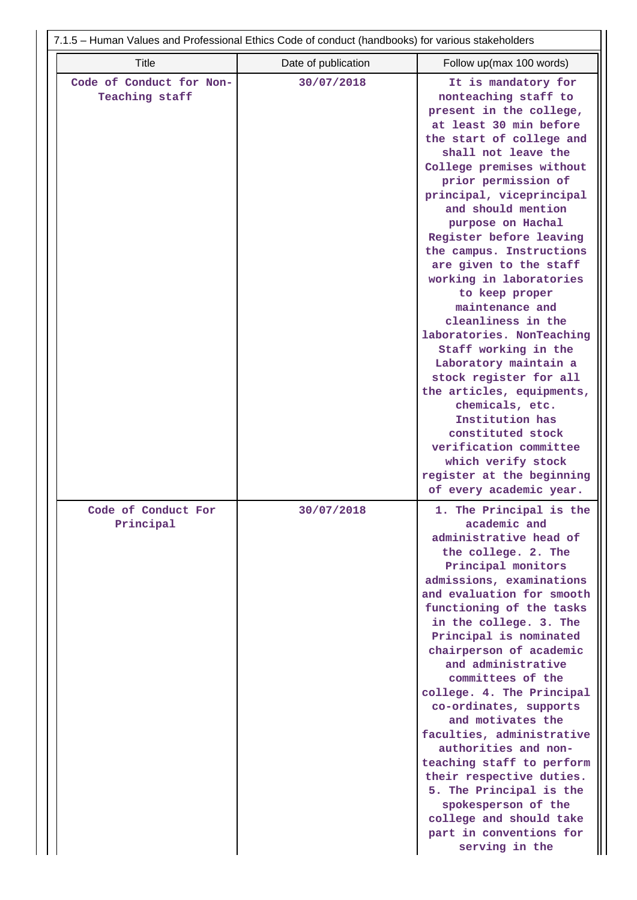| 7.1.5 - Human Values and Professional Ethics Code of conduct (handbooks) for various stakeholders |                     |                                                                                                                                                                                                                                                                                                                                                                                                                                                                                                                                                                                                                                                                                                                                                              |  |  |  |
|---------------------------------------------------------------------------------------------------|---------------------|--------------------------------------------------------------------------------------------------------------------------------------------------------------------------------------------------------------------------------------------------------------------------------------------------------------------------------------------------------------------------------------------------------------------------------------------------------------------------------------------------------------------------------------------------------------------------------------------------------------------------------------------------------------------------------------------------------------------------------------------------------------|--|--|--|
| <b>Title</b>                                                                                      | Date of publication | Follow up(max 100 words)                                                                                                                                                                                                                                                                                                                                                                                                                                                                                                                                                                                                                                                                                                                                     |  |  |  |
| Code of Conduct for Non-<br>Teaching staff                                                        | 30/07/2018          | It is mandatory for<br>nonteaching staff to<br>present in the college,<br>at least 30 min before<br>the start of college and<br>shall not leave the<br>College premises without<br>prior permission of<br>principal, viceprincipal<br>and should mention<br>purpose on Hachal<br>Register before leaving<br>the campus. Instructions<br>are given to the staff<br>working in laboratories<br>to keep proper<br>maintenance and<br>cleanliness in the<br>laboratories. NonTeaching<br>Staff working in the<br>Laboratory maintain a<br>stock register for all<br>the articles, equipments,<br>chemicals, etc.<br>Institution has<br>constituted stock<br>verification committee<br>which verify stock<br>register at the beginning<br>of every academic year. |  |  |  |
| Code of Conduct For<br>Principal                                                                  | 30/07/2018          | 1. The Principal is the<br>academic and<br>administrative head of<br>the college. 2. The<br>Principal monitors<br>admissions, examinations<br>and evaluation for smooth<br>functioning of the tasks<br>in the college. 3. The<br>Principal is nominated<br>chairperson of academic<br>and administrative<br>committees of the<br>college. 4. The Principal<br>co-ordinates, supports<br>and motivates the<br>faculties, administrative<br>authorities and non-<br>teaching staff to perform<br>their respective duties.<br>5. The Principal is the<br>spokesperson of the<br>college and should take<br>part in conventions for<br>serving in the                                                                                                            |  |  |  |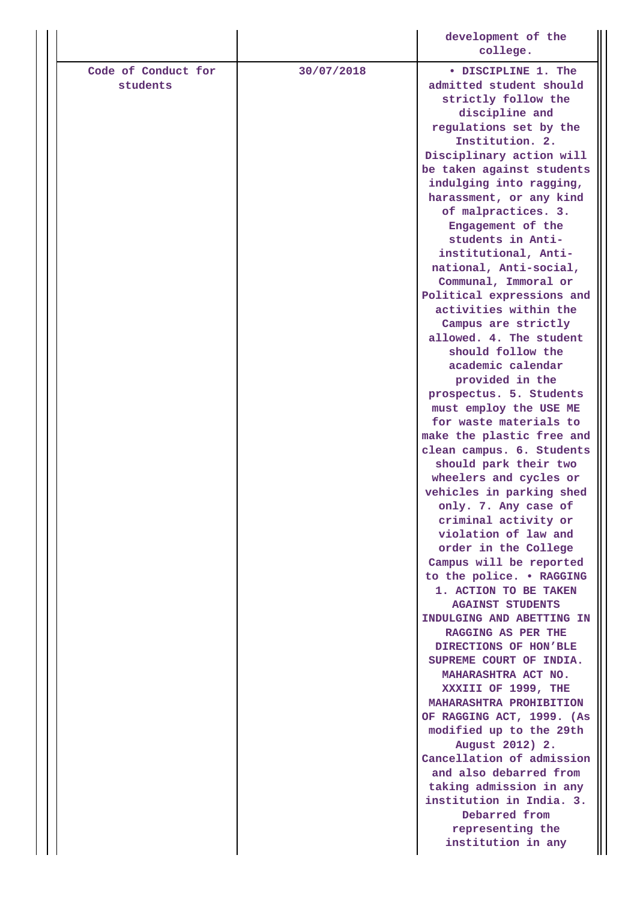|                                 |            | development of the<br>college.                                        |
|---------------------------------|------------|-----------------------------------------------------------------------|
|                                 |            |                                                                       |
| Code of Conduct for<br>students | 30/07/2018 | • DISCIPLINE 1. The<br>admitted student should<br>strictly follow the |
|                                 |            | discipline and                                                        |
|                                 |            | regulations set by the<br>Institution. 2.                             |
|                                 |            | Disciplinary action will                                              |
|                                 |            | be taken against students                                             |
|                                 |            | indulging into ragging,                                               |
|                                 |            | harassment, or any kind                                               |
|                                 |            | of malpractices. 3.                                                   |
|                                 |            | Engagement of the<br>students in Anti-                                |
|                                 |            | institutional, Anti-                                                  |
|                                 |            | national, Anti-social,                                                |
|                                 |            | Communal, Immoral or                                                  |
|                                 |            | Political expressions and                                             |
|                                 |            | activities within the                                                 |
|                                 |            | Campus are strictly<br>allowed. 4. The student                        |
|                                 |            | should follow the                                                     |
|                                 |            | academic calendar                                                     |
|                                 |            | provided in the                                                       |
|                                 |            | prospectus. 5. Students                                               |
|                                 |            | must employ the USE ME                                                |
|                                 |            | for waste materials to<br>make the plastic free and                   |
|                                 |            | clean campus. 6. Students<br>should park their two                    |
|                                 |            | wheelers and cycles or                                                |
|                                 |            | vehicles in parking shed                                              |
|                                 |            | only. 7. Any case of                                                  |
|                                 |            | criminal activity or<br>violation of law and                          |
|                                 |            | order in the College                                                  |
|                                 |            | Campus will be reported                                               |
|                                 |            | to the police. . RAGGING                                              |
|                                 |            | 1. ACTION TO BE TAKEN<br><b>AGAINST STUDENTS</b>                      |
|                                 |            | INDULGING AND ABETTING IN                                             |
|                                 |            | RAGGING AS PER THE<br>DIRECTIONS OF HON'BLE                           |
|                                 |            | SUPREME COURT OF INDIA.<br>MAHARASHTRA ACT NO.                        |
|                                 |            | XXXIII OF 1999, THE                                                   |
|                                 |            | <b>MAHARASHTRA PROHIBITION</b>                                        |
|                                 |            | OF RAGGING ACT, 1999. (As                                             |
|                                 |            | modified up to the 29th<br>August 2012) 2.                            |
|                                 |            | Cancellation of admission                                             |
|                                 |            | and also debarred from                                                |
|                                 |            | taking admission in any                                               |
|                                 |            | institution in India. 3.                                              |
|                                 |            | Debarred from<br>representing the                                     |
|                                 |            | institution in any                                                    |
|                                 |            |                                                                       |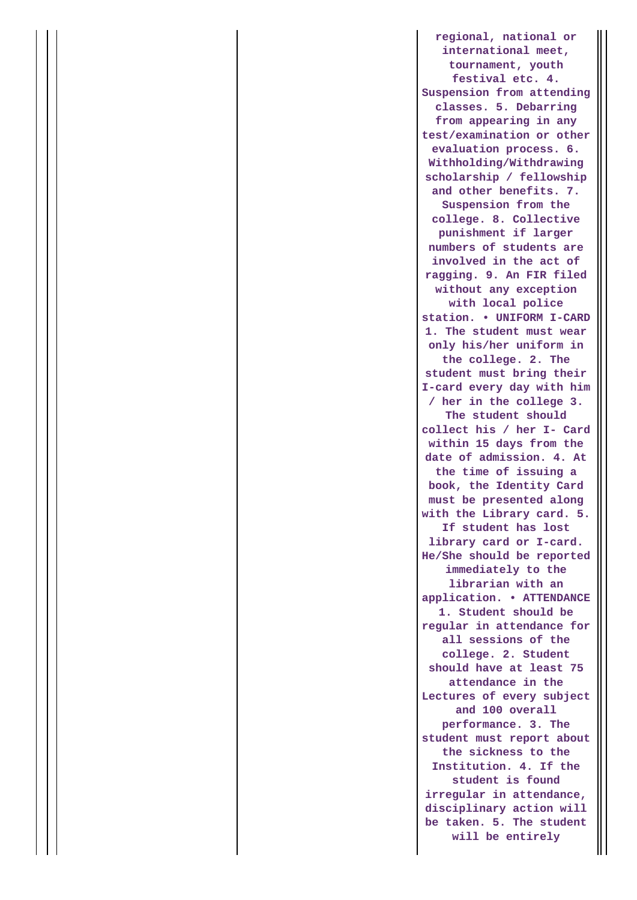**regional, national or international meet, tournament, youth festival etc. 4. Suspension from attending classes. 5. Debarring from appearing in any test/examination or other evaluation process. 6. Withholding/Withdrawing scholarship / fellowship and other benefits. 7. Suspension from the college. 8. Collective punishment if larger numbers of students are involved in the act of ragging. 9. An FIR filed without any exception with local police station. • UNIFORM I-CARD 1. The student must wear only his/her uniform in the college. 2. The student must bring their I-card every day with him / her in the college 3. The student should collect his / her I- Card within 15 days from the date of admission. 4. At the time of issuing a book, the Identity Card must be presented along with the Library card. 5. If student has lost library card or I-card. He/She should be reported immediately to the librarian with an application. • ATTENDANCE 1. Student should be regular in attendance for all sessions of the college. 2. Student should have at least 75 attendance in the Lectures of every subject and 100 overall performance. 3. The student must report about the sickness to the Institution. 4. If the student is found irregular in attendance, disciplinary action will be taken. 5. The student will be entirely**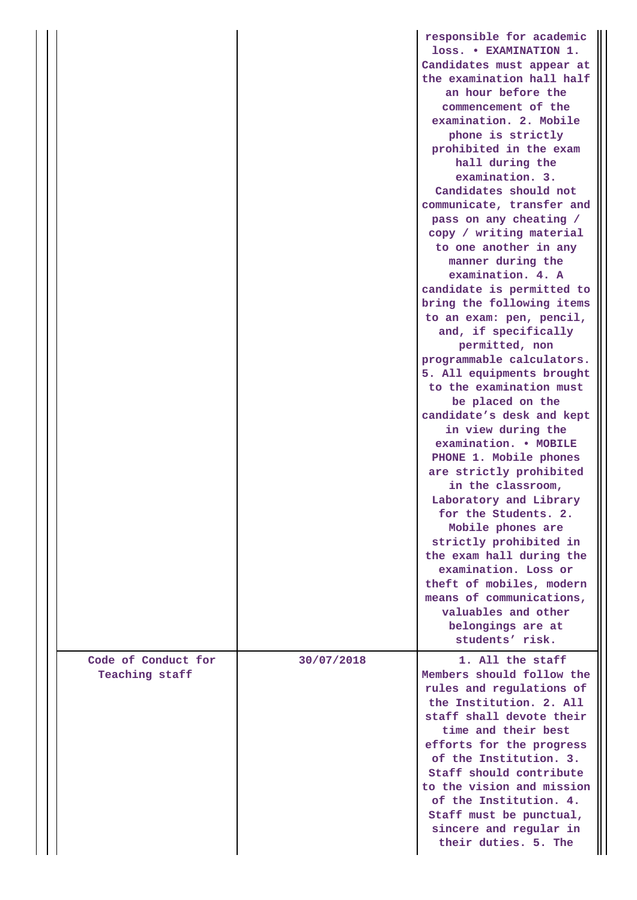|                                       |            | responsible for academic<br>loss. . EXAMINATION 1.<br>Candidates must appear at<br>the examination hall half<br>an hour before the<br>commencement of the<br>examination. 2. Mobile<br>phone is strictly<br>prohibited in the exam<br>hall during the<br>examination. 3.<br>Candidates should not<br>communicate, transfer and<br>pass on any cheating /<br>copy / writing material<br>to one another in any<br>manner during the<br>examination. 4. A<br>candidate is permitted to<br>bring the following items<br>to an exam: pen, pencil,<br>and, if specifically<br>permitted, non<br>programmable calculators.<br>5. All equipments brought<br>to the examination must<br>be placed on the<br>candidate's desk and kept<br>in view during the<br>examination. . MOBILE<br>PHONE 1. Mobile phones<br>are strictly prohibited<br>in the classroom,<br>Laboratory and Library<br>for the Students. 2.<br>Mobile phones are<br>strictly prohibited in<br>the exam hall during the<br>examination. Loss or<br>theft of mobiles, modern<br>means of communications,<br>valuables and other |
|---------------------------------------|------------|-------------------------------------------------------------------------------------------------------------------------------------------------------------------------------------------------------------------------------------------------------------------------------------------------------------------------------------------------------------------------------------------------------------------------------------------------------------------------------------------------------------------------------------------------------------------------------------------------------------------------------------------------------------------------------------------------------------------------------------------------------------------------------------------------------------------------------------------------------------------------------------------------------------------------------------------------------------------------------------------------------------------------------------------------------------------------------------------|
|                                       |            | belongings are at<br>students' risk.                                                                                                                                                                                                                                                                                                                                                                                                                                                                                                                                                                                                                                                                                                                                                                                                                                                                                                                                                                                                                                                      |
| Code of Conduct for<br>Teaching staff | 30/07/2018 | 1. All the staff<br>Members should follow the<br>rules and regulations of<br>the Institution. 2. All<br>staff shall devote their<br>time and their best<br>efforts for the progress<br>of the Institution. 3.<br>Staff should contribute<br>to the vision and mission<br>of the Institution. 4.<br>Staff must be punctual,<br>sincere and regular in<br>their duties. 5. The                                                                                                                                                                                                                                                                                                                                                                                                                                                                                                                                                                                                                                                                                                              |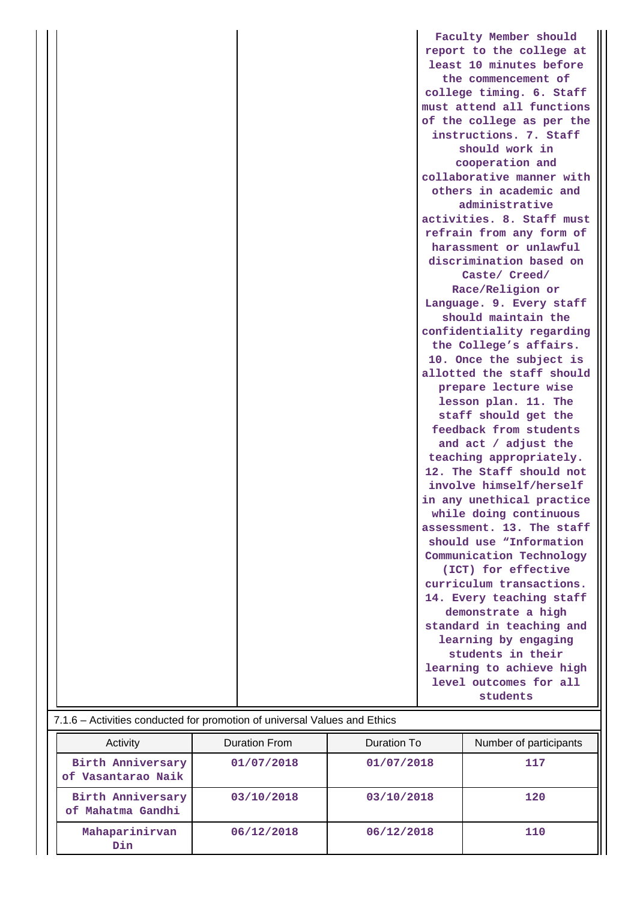|                                                                           | Faculty Member should     |
|---------------------------------------------------------------------------|---------------------------|
|                                                                           | report to the college at  |
|                                                                           | least 10 minutes before   |
|                                                                           | the commencement of       |
|                                                                           | college timing. 6. Staff  |
|                                                                           | must attend all functions |
|                                                                           | of the college as per the |
|                                                                           | instructions. 7. Staff    |
|                                                                           | should work in            |
|                                                                           | cooperation and           |
|                                                                           | collaborative manner with |
|                                                                           | others in academic and    |
|                                                                           | administrative            |
|                                                                           | activities. 8. Staff must |
|                                                                           | refrain from any form of  |
|                                                                           | harassment or unlawful    |
|                                                                           | discrimination based on   |
|                                                                           | Caste/ Creed/             |
|                                                                           | Race/Religion or          |
|                                                                           | Language. 9. Every staff  |
|                                                                           | should maintain the       |
|                                                                           | confidentiality regarding |
|                                                                           | the College's affairs.    |
|                                                                           | 10. Once the subject is   |
|                                                                           | allotted the staff should |
|                                                                           | prepare lecture wise      |
|                                                                           | lesson plan. 11. The      |
|                                                                           | staff should get the      |
|                                                                           | feedback from students    |
|                                                                           | and act / adjust the      |
|                                                                           | teaching appropriately.   |
|                                                                           | 12. The Staff should not  |
|                                                                           | involve himself/herself   |
|                                                                           | in any unethical practice |
|                                                                           | while doing continuous    |
|                                                                           | assessment. 13. The staff |
|                                                                           | should use "Information   |
|                                                                           | Communication Technology  |
|                                                                           | (ICT) for effective       |
|                                                                           | curriculum transactions.  |
|                                                                           | 14. Every teaching staff  |
|                                                                           | demonstrate a high        |
|                                                                           | standard in teaching and  |
|                                                                           | learning by engaging      |
|                                                                           | students in their         |
|                                                                           | learning to achieve high  |
|                                                                           | level outcomes for all    |
|                                                                           | students                  |
|                                                                           |                           |
| 7.1.6 - Activities conducted for promotion of universal Values and Ethics |                           |

| Activity                                | Duration From | Duration To | Number of participants |
|-----------------------------------------|---------------|-------------|------------------------|
| Birth Anniversary<br>of Vasantarao Naik | 01/07/2018    | 01/07/2018  | 117                    |
| Birth Anniversary<br>of Mahatma Gandhi  | 03/10/2018    | 03/10/2018  | 120                    |
| Mahaparinirvan<br>Din.                  | 06/12/2018    | 06/12/2018  | 110                    |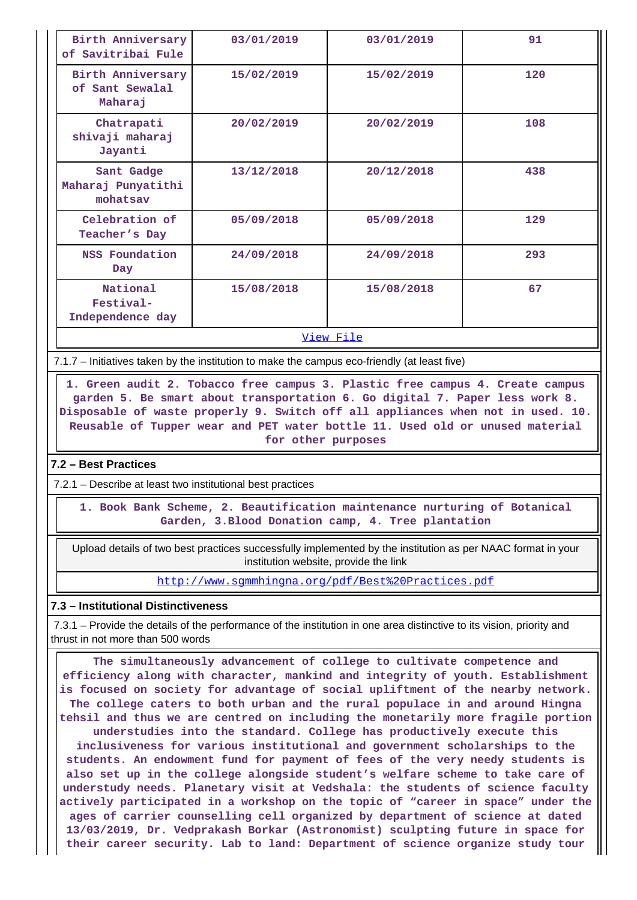| Birth Anniversary<br>of Savitribai Fule         | 03/01/2019 | 03/01/2019 | 91  |
|-------------------------------------------------|------------|------------|-----|
| Birth Anniversary<br>of Sant Sewalal<br>Maharaj | 15/02/2019 | 15/02/2019 | 120 |
| Chatrapati<br>shivaji maharaj<br>Jayanti        | 20/02/2019 | 20/02/2019 | 108 |
| Sant Gadge<br>Maharaj Punyatithi<br>mohatsav    | 13/12/2018 | 20/12/2018 | 438 |
| Celebration of<br>Teacher's Day                 | 05/09/2018 | 05/09/2018 | 129 |
| NSS Foundation<br>Day                           | 24/09/2018 | 24/09/2018 | 293 |
| National<br>Festival-<br>Independence day       | 15/08/2018 | 15/08/2018 | 67  |
| <u>View File</u>                                |            |            |     |

7.1.7 – Initiatives taken by the institution to make the campus eco-friendly (at least five)

 **1. Green audit 2. Tobacco free campus 3. Plastic free campus 4. Create campus garden 5. Be smart about transportation 6. Go digital 7. Paper less work 8. Disposable of waste properly 9. Switch off all appliances when not in used. 10. Reusable of Tupper wear and PET water bottle 11. Used old or unused material for other purposes**

# **7.2 – Best Practices**

7.2.1 – Describe at least two institutional best practices

 **1. Book Bank Scheme, 2. Beautification maintenance nurturing of Botanical Garden, 3.Blood Donation camp, 4. Tree plantation**

 Upload details of two best practices successfully implemented by the institution as per NAAC format in your institution website, provide the link

http://www.sgmmhingna.org/pdf/Best%20Practices.pdf

## **7.3 – Institutional Distinctiveness**

 7.3.1 – Provide the details of the performance of the institution in one area distinctive to its vision, priority and thrust in not more than 500 words

 **The simultaneously advancement of college to cultivate competence and efficiency along with character, mankind and integrity of youth. Establishment is focused on society for advantage of social upliftment of the nearby network. The college caters to both urban and the rural populace in and around Hingna tehsil and thus we are centred on including the monetarily more fragile portion understudies into the standard. College has productively execute this inclusiveness for various institutional and government scholarships to the students. An endowment fund for payment of fees of the very needy students is also set up in the college alongside student's welfare scheme to take care of understudy needs. Planetary visit at Vedshala: the students of science faculty actively participated in a workshop on the topic of "career in space" under the ages of carrier counselling cell organized by department of science at dated 13/03/2019, Dr. Vedprakash Borkar (Astronomist) sculpting future in space for their career security. Lab to land: Department of science organize study tour**